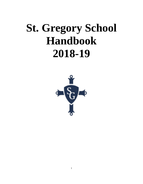# **St. Gregory School Handbook 2018-19**

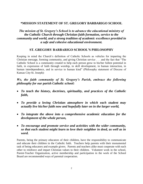# **\*MISSION STATEMENT OF ST. GREGORY BARBARIGO SCHOOL**

*The mission of St. Gregory's School is to advance the educational ministry of the Catholic Church through Christian faith formation, service to the community and world, and a strong tradition of academic excellence provided in a safe and cohesive educational environment.*

# **ST. GREGORY BARBARIGO SCHOOL'S PHILOSOPHY**

Keeping in mind the Church's definition of Catholic Schools as vehicles for imparting the Christian message, forming community, and giving Christian service . . . and the fact that "The Catholic School is a community created to help each person grow to his/her fullest potential in faith, in expression of faith through worship, in skill development, in human interaction, in human interdependence, and in service to human kind" (Philosophy statement of Diocese of Kansas City-St. Joseph):

# *We, the faith community of St. Gregory's Parish, embrace the following philosophy for our parish Catholic school:*

- *To teach the history, doctrines, spirituality, and practices of the Catholic faith,*
- *To provide a loving Christian atmosphere in which each student may actually live his/her faith now and hopefully later on in the larger world,*
- *To integrate the above into a comprehensive academic education for the development of the whole person,*
- *To encourage and promote service and activities with the wider community, so that each student might learn to love their neighbor in deed, as well as in word.*

Parents, being the primary educators of their children, have the responsibility to communicate and educate their children in the Catholic faith. Teachers help parents with their monumental task of being educators and example givers. Parents and teachers alike must cooperate with each other to reinforce and impart Christian values to their children. Volunteer work in the school, Parent-Teacher Organization, active membership and participation in the work of the School Board are recommended ways of parental cooperation.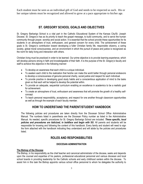Each student must be seen as an individual gift of God and needs to be respected as such. His or her unique talents must be recognized and allowed to grow at a pace appropriate to his/her age.

# **ST. GREGORY SCHOOL GOALS AND OBJECTIVES**

St. Gregory Barbarigo School is a vital part in the Catholic Educational System of the Kansas City/St. Joseph Diocese. St. Gregory's has as its priority to teach the gospel message, to build community, and to serve the human community through prayer, worship and social action. It is essential that the school provide these opportunities for its students in an atmosphere of trust, enthusiasm, and general concern for every child. The achievement of these goals is St. Gregory's contribution toward developing a fuller Christian family life, responsible citizenry, a caring society, global moral consciousness, and an environment in which the pursuit of peace and justice is recognized as the norm for daily living and interaction with others.

Christian living must be practiced in order to be learned. Our prime objective is to provide learning experience, which will develop persons strong in faith and knowledgeable of their faith. It is the purpose of the St. Gregory's faculty and staff to achieve this objective in the following manner:

- To develop an awareness that each child is a unique individual.
- To awaken each child to the realization that he/she can make the world better through personal endeavors to develop a consciousness of genuine personal charity, social justice and respect for each individual.
- To provide practice in developing good study habits and a conscientious application of mind to the tasks given so that each will be helped to develop the potential within.
- To provide an adequate, sequential curriculum enabling an excellence in academics to be a realistic goal for achievement.
- To create an atmosphere of trust, enthusiasm and awareness that will promote the growth of a healthy selfconcept.
- To teach personal responsibility, acceptance, and respect for one another through classroom opportunities as well as through the example of each faculty member.

# **HOW TO UNDERSTAND THE PARENT/STUDENT HANDBOOK**

The following policies and procedures are taken directly from the Diocesan School Office Administrative Manual. The numbers listed in parenthesis are the Diocesan Policy number as listed in the Administrative Manual. As needed, specific procedures for St. Gregory Barbarigo School are included. *These specific, local policies and procedures are italicized, in boldface and begin with SG*. All parents and students will be responsible for knowing and following the content of this handbook. Every family and student will need to sign the form attached with the handbook indicating they understand and will abide by the policies and procedures listed.

# **ROLES AND RESPONSIBILITIES**

#### **DIOCESAN ADMINISTRATION**

#### **The Bishop of the Diocese**

The Bishop, in his responsibility as the chief teacher and canonical administrator of the diocese, seeks and depends upon the counsel and expertise of his pastors, professional educational personnel and various diocesan and local school boards in providing leadership for the Catholic schools and early childhood centers within the diocese. To assist him in this task the Bishop appoints various school office personnel to whom he delegates the authority to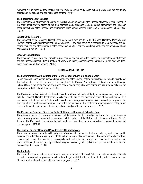represent him in most matters dealing with the implementation of diocesan school policies and the day-to-day operation of the schools and early childhood centers. (100.1)

#### **The Superintendent of Schools**

The Superintendent of Schools, appointed by the Bishop and employed by the Diocese of Kansas City-St. Joseph, is the chief administrative officer of the free standing early childhood centers, parish elementary and diocesan secondary schools of the Diocese, and of programs which come under the jurisdiction of the Diocesan School Office. (100.2)

#### **School Office Personnel**

The personnel of the Diocesan School Office serve as a resource to Early Childhood Directors, Principals and Pastors/Pastoral Administrators/Priest Representatives. They also serve as a resource to local advisory groups, boards, faculties and other members of the school community. Their roles and responsibilities are both pastoral and professional in nature. (100.3)

#### **Diocesan School Board**

The Diocesan School Board shall provide regular counsel and support to the Bishop, the Superintendent of Schools and the Diocesan School Office in matters of policy formulation, school finances, curriculum, public relations, longrange planning and development. (100.4)

#### **LOCAL ADMINISTRATION**

#### **The Pastor/Pastoral Administrator of the Parish School or Early Childhood Center**

Canon law establishes certain rights and responsibilities of the Pastor/Pastoral Administrator for the administration of the local parish. To assist him or her in this role, the Pastor/Pastoral Administrator collaborates with the Diocesan School Office in the administration of a parish school and/or early childhood center, including the selection of the Principal or Early Childhood Director. (110.1)

The Pastor/Pastoral Administrator is the administrator and spiritual leader of the total parish community and shares with the Principal, Director, local board, faculty and staff, his or her "overview" vision of the total parish. It is recommended that the Pastor/Pastoral Administrator, or a designated representative, regularly participate in the meetings of collaborative school groups. One of the proper roles of the Pastor is to enact approved policy, which has been formulated by the local elementary school or early childhood center board. (120.2)

#### **The Role of the Principal, Director of Early Childhood or Director of Extended Care**

The person appointed as Principal or Director shall be responsible for the administration of the school, center or extended care program in complete accordance with the policies of the Bishop of the Diocese of Kansas City-St. Joseph. The Principalship or Directorship includes three distinct but related responsibilities: pastoral, educational and managerial. (110.4)

#### **The Teacher or Early Childhood Provider/Early Childhood Aide**

The role of the teacher or early childhood provider/aide calls for persons of faith who will integrate the inseparable religious and educational goals of a Catholic school or early childhood center. Teachers and early childhood providers/aides must be qualified, professionally and pastorally, to perform the educational and instructional responsibilities of the school or early childhood programs according to the policies and procedures of the Diocese of Kansas City-St. Joseph. (110.6)

#### **The Students**

The role of the students is to be active learners who are members of the total Catholic school community. Students are called to grow to their potential in faith, in knowledge, in skill development, in interdependence and in service. Students shall abide by the rules of the school or program. (110.7)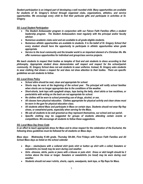*Student participation is an integral part of developing a well rounded child. Many opportunities are available for students of St. Gregory's School through organized clubs, organizations, athletics, and service opportunities. We encourage every child to find their particular gifts and participate in activities at St. Gregory.*

## *SG -Local Student Participation*

- *The Student Ambassador program in conjunction with our Falcon Faith Families offers a student leadership program. The Student Ambassadors meet regularly with the principal and/or faculty advisor.*
- *Numerous academic clubs exist and are available to all grade eligible students.*
- *Numerous athletic opportunities are available to students. It is the belief of St. Gregory School that every student should have the opportunity to participate in athletic opportunities when grade appropriate.*
- *Service to the local community and the broader world is an important element of a Christian life. We offer numerous opportunities for individual and group/class service projects.*

*We teach students to respect their bodies as temples of God and ask students to dress according to that philosophy. Appropriate student dress demonstrates self respect and respect for the school/parish community. St. Gregory School does not ask students to wear uniforms. Instead, St. Gregory asks students to wear clothing that shows a respect for and does not draw attention to their bodies. There are specific guidelines we ask students to follow.*

#### *SG -Local Dress Policy*

- *School attire should be neat, clean and appropriate for school.*
- *Shorts may be worn at the beginning of the school year. The principal will notify school families when shorts are no longer appropriate due to the conditions of the weather.*
- *Short-shorts, tank tops with spaghetti straps, tops baring the belly, short skirts or low necklines, or pants/skirts with writing on the back are not appropriate for school.*
- *No clothes will be worn to school promoting use of drugs, alcohol, or sex.*
- *All classes have physical education. Clothes appropriate for physical activity and clean shoes must be worn in the gym for physical education class.*
- *All students attend Mass and participate in Mass on certain days. Students should not wear flip flop shoes, or sweat/wind pants, especially when serving for the Mass.*
- *We ask all students to be well groomed as they represent themselves, our school and our parish.*
- *Specific clothing may be suggested for groups of students attending certain events or competitions. We encourage all students to follow these suggestions.*

## *SG- Local Mass Day Dress Code*

*In an effort to teach appropriate dress for Mass and to show respect for the celebration of the Eucharist, the following dress guidelines must be followed for all students on Mass days.*

*Mass days: Wednesday K-4th grade, Thursday 5th-8th, First Fridays with Falcon Faith Families and All School Mass days as listed on the school calendar*

- *Boys – slacks/jeans with a collared shirt (polo shirt or button up shirt with a collar) Sweaters or sweatshirts (no hood) may be worn during cool weather.*
- *Girls –dresses, skirts, pants or jeans with a blouse or polo shirt. Dress or skirt length should be 2 inches above the knee or longer. Sweaters or sweatshirts (no hood) may be worn during cool weather.*
- *Students should not wear t-shirts, shorts, capris, sweatpants, tank tops, or flip flops for Mass.*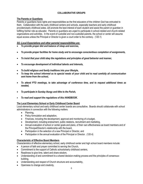# **COLLABORATIVE GROUPS**

# **The Parents or Guardians**

Parents or guardians have rights and responsibilities as the first educators of the children God has entrusted to them. Collaboration with the early childhood centers and schools, especially teachers and early childhood providers/early childhood aides, will promote the best interest of each student and assist the parent or guardian in fulfilling his/her role as educator. Parents or guardians are urged to participate in school-related and church-related organizations and activities. In the event of custodial and non-custodial parents, the school or center will assume equal access unless the Principal or Director is given a court order to the contrary. (120.1)

# *SG -Local Expectations and other parental responsibilities are:*

- *To provide proper diet and balance of sleep and exercise,*
- *To provide proper facilities for home study and to encourage conscientious completion of assignments,*
- *To insist that your child obey the regulations and principles of good behavior and manner,*
- *To encourage development of individual talents and interests,*
- *To build religious and family traditions into your lifestyle,*
- *To keep the school informed as to special needs of your child and to read carefully all communication sent home from the school,*
- *To attend PTO meetings, to take advantage of conference time, and to request additional times as needed,*
- *To participate in Sunday liturgy and tithe to the Parish,*
- *To read and support the regulations of this HANDBOOK.*

## **The Local Elementary School or Early Childhood Center Board**

Local elementary school and early childhood center boards are consultative. Boards should collaborate with school administrators in connection with the following matters:

- Planning,
- Policy formulation and adaptation,
- Finances, including the development, approval and monitoring of a budget,
- Development, including endowment, public relations, recruitment and marketing,
- Annual evaluation of school or center goals and plans, of their own effectiveness as board members and of the Principal/Director's relationship with the board,
- Participation in the selection of a new Principal or Director, and
- Participation in the annual evaluation of the Principal or Director. (120.4)

# **Characteristic of Effective Board Members**

Characteristics of effective elementary school, early childhood center and high school board members include:

- A person of faith and prayer committed to serving the Church,
- Commitment to the support of Catholic schools/early childhood centers,
- Readiness to give time, talent and share wisdom,
- Understanding of and commitment to a shared decision-making process and the principles of consensusbuilding,
- Understanding and respect of Church structure and accountability,
- Openness to change and creativity,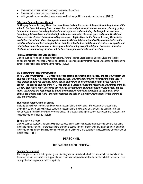- Commitment to maintain confidentiality in appropriate matters,
- Commitment to avoid conflicts of interest, and
- Willingness to recommend or donate services rather than profit from service on the board. (120.9)

## *SG - Local School Advisory Council*

*St. Gregory School Advisory Board is a consultative body to the pastor of the parish and the principal of the school. The School Advisory Board advises the pastor and principal on matters such as: planning, policy formulation, finances (including the development, approval and monitoring of a budget), development (including public relations and marketing), and annual evaluation of school goals and plans. The School Board consists of seven to nine elected lay members. Applications for the School Advisory Council are available in the school office. Open positions on the School Advisory Board will be communicated in the monthly school newsletter, through e-blasts from the school office, and the church bulletin. The pastor and principal are non-voting members. Meetings are held monthly except for July and December. If needed, elections for new advisory members will be held each spring before the June meeting.* 

#### **Parent/Guardian/Teacher Organizations**

Groups, such as Home and School Organizations, Parent Teacher Organizations, Booster Clubs and the like, collaborate with the Principals, Directors and teachers to develop and strengthen mutual understanding between the school or early childhood center and the home. (125.2)

## *SG -Local Parent/Teacher Organization*

*The St. Gregory Barbarigo PTO is made up of the parents of students of the school and the faculty/staff. Its purpose is two-fold. As a moneymaking organization, the PTO sponsors projects throughout the year to help provide equipment, supplies, library books, study trips, and other enrichment activities within the school. The second purpose of the PTO is to provide a liaison between the faculty and the parents of the St. Gregory Barbarigo School in order to develop and strengthen the communication between school and the home. All parents are encouraged to attend the general meetings and participate as volunteers. PTO officers are elected each April. Executive meetings are held on a monthly basis except for the months of July and December.*

#### **Student and Parent/Guardian Groups**

In elementary schools, students and groups are responsible to the Principal. Parent/guardian groups in the elementary school or early childhood center are responsible to the Principal or Director in consultation with the Pastor/Pastoral Administrator/Priest Representative. All groups, including the school newspaper and yearbook, are responsible to the Principal. (125.3)

#### **Special Interest Groups**

Groups, such as yearbook, school newspaper, science clubs, athletic or booster organizations, and the like, using the school name, students, and/or facilities to promote a special interest or activity of any nature and/or to generate monies for such promotion shall function according to the philosophy and policies of the local school or center and of the Diocese. (125.4)

# **PERSONNEL**

## **THE CATHOLIC SCHOOL PRINCIPAL**

#### **Spiritual Development**

The Principal is responsible for planning and directing spiritual activities that will promote a faith community within the school as well as enable and support the individual spiritual growth and development of all staff members. Their own spiritual development should be a priority.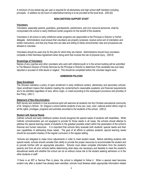A minimum of one retreat day per year is required for all elementary and high school staff members including principals. In addition six (6) hours of catechetical training is to be provided at the local level. (200.62)

#### **NON-CERTIFIED SUPPORT STAFF**

#### **Volunteers**

Volunteers, especially parents, guardians, grandparents, parishioners, and civic resource personnel, shall be incorporated into school or early childhood center programs for the benefit of the students.

Volunteers in all school or early childhood center programs are responsible to the Principal or Director or his/her delegate. Administrators must ensure that volunteers are properly screened, receive some sort of orientation and written instructions, and that only those who are able and willing to follow school/center rules and procedures are allowed to volunteer.

Volunteers should be used only for the jobs for which they are trained. Administrators should have volunteers complete a Hold Harmless Agreement when doing work that involves the risk of physical injury. (250.8)

#### **Screenings of Volunteers**

Names of any coaches and other volunteers who work with children/youth or in the school building will be submitted to The Missouri Division of Family Services by the Principal or Director to determine if the candidate has ever been reported or accused of child abuse or neglect. This should be completed before the volunteer begins work.

#### **ADMISSION POLICIES**

#### **Open Enrollment**

The Diocese maintains a policy of open enrollment in early childhood centers, elementary and secondary schools. Open enrollment means that students meeting the center/school's reasonable academic and financial requirements are to be admitted regardless of race, ethnic origin, or creed according to the subsequent provisions and priorities of this Policy. (300.1)

#### **Statement of Non-Discrimination**

Both faculty and students in true ecumenical spirit will welcome all students into the Christian educational community of St. Gregory's School. St. Gregory's school admits students of any sex, race, color, national and/or ethnic origin to all the rights, privileges, programs and activities accorded to the students of the school. (300.2)

#### **Student with Special Needs**

Catholic schools and early childhood centers should recognize the special needs of students with disabilities. While Catholic schools/centers are not equipped to provide for those needs in all cases, the schools should attempt to address the special learning needs of students to the greatest possible extent within the parameters of the school's financial and human resources. It is important that schools fairly evaluate both students' special needs and their own capabilities of addressing those needs. The goal of all efforts to address students' special learning needs should be successful mastery of the regular curriculum in the regular setting.

Schools are obligated to make minor adjustments in order to meet student needs. Before admitting students with special needs, schools should consider their ability to provide the proper resources to accommodate the student and to provide him/her with an appropriate education. Schools must obtain complete information from the student's parents and from all prior schools before determining what steps are necessary and feasible to meet the student's educational needs and whether the school can do so without undue risk to the student seeking admission or to the other students or staff.

If there is an IEP or Service Plan in place, the school is obligated to follow it. When a special need becomes evident only after a student has already been admitted, schools must likewise obtain appropriate information related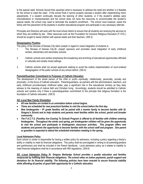to the special need. Schools should then ascertain what is necessary to address the need and whether is it feasible for the school to meet the need. If the school finds it cannot properly educate a student after implementing minor adjustments, if a student continually disrupts the learning of other students, or if the student's abilities were misunderstood or misrepresented and the school does not have the resources to accommodate the student's special needs, the school may need to terminate the student's enrollment. The school must however, assist the family with the placement of the students in another educational program and participate in any necessary referrals.

Principals and Directors will work with the local school district to ensure that all students are receiving the services to which they are entitled by law. Other resources such as the Foundation for Inclusive Religious Education (F.I.R.E.) should be sought to assist children with special needs and their teachers. (300.3)

#### **Desegregation Position**

The policy of the Diocese of Kansas City-Saint Joseph in regard to racial integration of students is:

- 1. The Diocese of Kansas City-St. Joseph sponsors and promotes racial integration of early childhood centers, elementary and secondary schools.
- 2. Catholic schools and centers emphasize the broadening and enriching of educational opportunities afforded in culturally and racially mixed settings.
- 3. Catholic schools shall not accept applicants seeking to avoid the orderly implementation of court-ordered desegregation of the public schools of any school district. (300.4)

#### **Parental/Guardian Commitment to Purposes of Catholic Education**

The development of the whole person of the child or youth—spiritually, intellectually, personally, socially and physically—is the focus of Catholic education. Parents/guardians, as partners with the administrators, teachers, and early childhood providers/early childhood aides, play a significant role in this educational ministry as they daily witness to the meaning of mature faith and Christian living. Accordingly, students should be admitted to Catholic schools and centers only if there is parental/guardian commitment to the principle that religious formation is the foundation of Catholic education. (300.5)

## *SG -Local New Family Orientation*

- *All new families are invited to an orientation before school begins.*
- *Times are scheduled for new preschool families to visit the school before the first day.*
- New kindergarten 8<sup>th</sup> grade families will be paired with a mentor family to become familiar with St. *Gregory's School and to help students and parents meet families within the school, parish and broader community.*
- *The F.A.C.T.S. (Families Are Coming To School) Program is offered to all families with children entering kindergarten. Throughout the winter and spring, pre kindergarten children will be given the opportunity to visit the school and participate in kindergarten classroom activities. This program offers new students and parents the opportunity to become familiar with the school staff and program. One parent or guardian is expected to attend the scheduled orientation meeting in the spring.*

#### **Local Admission Policy**

Each school or center is responsible for having a written policy for admission, including a policy regarding a family's ability or inability to meet its financial obligations. This policy shall be promulgated in writing to all parents/guardians and parishioners and shall be included in the Parent Handbook. Local admission policy as it relates to inability to meet financial obligations shall be in accordance with IRS regulations. (300.6)

*SG –Local Admission Policy St. Gregory Barbarigo School provides a quality education and families*  reciprocate by fulfilling their financial obligations. The school relies on tuition payments, parish support and *donations for its financial stability. The following policies have been enacted to secure financial stability while affording all parties of good faith opportunity for a Catholic education.*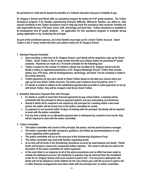*No parishioner's child will be denied the benefits of a Catholic education because of inability to pay.*

*St. Gregory's School and Parish offer an assistance program for tuition for K-8 th grade students. The Tuition Assistance program if for families experiencing financial difficulty. Whenever families can afford to, they should contribute to the Tuition Assistance fund to help pay back the assistance they received. Families are still responsible for bus, PTO dues, lunch, milk, technology and band fees. Tuition assistance is available to all kindergarten thru 8th grade students. An application for this assistance program is available during spring registration or by contacting the principal.*

*As part of the enrollment process, all school families must sign up for a Smart Tuition Account. Smart Tuition is the 3rd party vendor that bills and collects tuition for St. Gregory School.* 

#### *1. Standard Payment Schedule*

- *Upon enrolling a child (ren) at St. Gregory School, each family will be required to sign up for Smart Tuition. Smart Tuition is the 3rd party vendor that bills and collects tuition for preschool-8 th grade students. Payments are made on a 10 month schedule for the following year.*
- *Tuition is based on the number of children a family has enrolled at St. Gregory School and the family's status as registered parishioners of St. Gregory Barbarigo Church. Tuition fees include: tuition, bus, PTO dues, milk for kindergarteners, technology, and band. The fee schedule is listed in the school directory.*
- *Tuition payments are due each month to Smart Tuition based on the date you choose when you sign up for your Smart Tuition Account. The entire year's balance must be paid by June 1st .*
- *If a family is unable to adhere to the established payment plan and fails to make payments as set up with Smart Tuition, they will be charged a late fee by Smart Tuition.*

## *2. Establish Alternative Payment Plan with Principal*

- *If a family is unable to meet their financial agreement to pay school tuition, a meeting will be scheduled with the principal to discuss payment options and any extenuating circumstances.*
- *Should a family fail to respond to the request by the principal for a meeting within a two week period, the matter will be turned over to the tuition committee for review.*
- *If a payment is not received within 10 days of meeting with the principal, the family will be required to meet with the tuition committee.*
- *If at any time a family on an alternative payment plan is delinquent by a period of one month, they will be required to meet with the tuition committee.*

## *3. Tuition Committee*

- *The tuition committee will consist of the principal, the pastor, and the parish business manager.*
- *The tuition committee will offer assistance, guidance, and follow up recommendations on any issues regarding tuition payments.*
- *The tuition committee will act as the executor of the Scholarship Assistance Fund.*
- *The tuition committee may meet with families requesting funds.*
- *At no time will all funds in the Scholarship Assistance account be used towards one family. Partial funds will be kept in reserve for unexpected tuition requests. This reserve will also be used at the discretion of the tuition committee for tuition expenses.*
- *In the event there is no response to all of the above procedures and no effort has been made to remedy the delinquent account, the student(s) in question may be removed from the enrollment roster for St. Gregory School until such account is paid in full. If an account is delinquent, the family will not be allowed to enroll children for the next school year until the account is paid in full or other financial arrangements have been made with the principal and / or tuition committee.*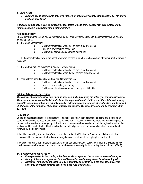## *4. Legal Action*

 *A lawyer will be contacted to collect all moneys on delinquent school accounts after all of the above methods have failed.*

*If students should depart from St. Gregory School before the end of the school year, prepaid fees will be refunded effective the next full month after departure.*

## **Admission Priority**

St. Gregory Barbarigo School adopts the following order of priority for admission to the elementary school or early childhood center.

1. Children of parishioners:

- a. Children from families with other children already enrolled
- b. First child now reaching school age
- c. Children registered on an approved waiting list.

2. Children from families new to the parish who were enrolled in another Catholic school at their current or previous residence

- 3. Children from families registered in another Catholic parish:
	- a. Children from families with other children already enrolled
	- b. Children from families without other children already enrolled
- 4. Other children, including children from non-Catholic families
	- a. Children from families with other children already enrolled
	- b. First child now reaching school age
	- c. Children registered on an approved waiting list. (300.61)

## *SG -Local Classroom Size Policy*

*The concept of student/teacher ratio must be considered when planning the delivery of educational services. The maximum class size will be 25 students for kindergarten through eighth grade. Parents/guardians may appeal to the administration and school council in extenuating circumstances where the class would exceed 25 students. If the number of students in kindergarten exceeds 20, a teacher's aide will be required. (April 17, 1996)*

#### **Registration**

During the registration process, the Director or Principal shall obtain from all families enrolling into the school or center information to be used in establishing cumulative files, in seeking previous records, and establishing files to be used in the event of an emergency. If the student is transferring from another school the registration will not be finalized and the student will not be formally admitted until all previous school records have been received and reviewed by the administration.

If the child is enrolling from another Catholic school or center, the Principal or Director should check with the previous institution to ensure that all financial obligations were met prior to accepting the enrollment.

If the child is enrolling from another institution, whether Catholic, private or public, the Principal or Director should check to determine if academic and behavioral requirements were met prior to accepting the enrollment. (300.7)

## *SG -Local Pre-registration Policy*

- *Pre-registration for the coming school terms will take place in the second semester of each year.*
- *A copy of the school agreement forms will be mailed to all pre-registered families by August.*
- *Agreement forms will not be issued to parents until all payments from the past school year are current or prior arrangements have been made with the principal.*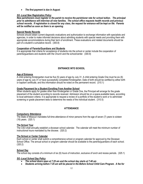*The first payment is due in August.* 

#### *SG -Local New Registration Policy*

*New parishioners must register in the parish to receive the parishioner rate for school tuition. The principal prior to admittance will interview all new families. The school office requests health records and previous school records. If registration is closed for any class, the request for entrance will be kept on file. Parents will be notified as soon as there is an opening.*

#### **Special Needs Records**

Schools should obtain current diagnostic evaluations and authorization to exchange information with specialists and agencies, in order to make informed decisions about admitting students with special needs and providing them with appropriate accommodations during their term of enrollment. These evaluations and related documents should be part of a student's cumulative record. (300.8)

#### **Cooperation of Parents/Guardians and Students**

It is appropriate that criteria for acceptance of students into the school or center include the cooperation of parents/guardians and students with the Church and the school/center. (300.9)

# **ENTRANCE INTO SCHOOL**

#### **Age of Entrance**

A child entering Kindergarten must be five (5) years of age by July 31. A child entering Grade One must he six (6) years of age by July 31 or have successfully completed Kindergarten. Date of birth should be certified by either birth or baptism certificate, and this information should he noted on the permanent record. (310.1)

#### **Grade Placement for a Student Enrolling From Another School**

When students apply for grades other than Kindergarten or Grade One, the Principal will arrange for the grade placement of the student according to records received. Admission should be on a space-available basis, according to local admission criteria. It is appropriate to request a review of a portfolio of the student's work or to administer screening or grade placement tests to determine the needs of the individual student. (310.5)

## **ATTENDANCE**

#### **Compulsory Attendance**

The State of Missouri mandates full-time attendance of minor persons from the age of seven (7) years to sixteen (16) years. (320.1)

## **The School Year**

The CSO shall annually establish a diocesan school calendar. The calendar will meet the minimum number of instructional hours mandated by the diocese. (320.2)

#### **The School or Center Calendar**

Each school or center shall submit a comprehensive school or program calendar for approval by the Diocesan School Office. The annual school or program calendar should be available to the parents/guardians of each school. (320.2)

#### **School Day**

The school day consists of a minimum of six (6) hours of instruction, exclusive of lunch and recess periods. (325.1)

## *SG -Local School Day Policy*

- *The school doors open at 7:25 am and the school day starts at 7:40 am*
- *Students arriving before 7:25 am will be placed in the Before School Child Care Program. A fee for*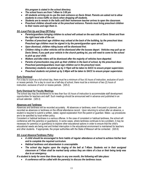*this program is stated in the school directory.* 

- *The school hours are from 7:40am to 3:00 pm*
- *All students arriving are to use the main entrance on Davis Street. Parents are asked not to allow students to cross traffic on Davis when dropping off students.*
- *Students are to remain in the halls until their homeroom teacher arrives to open the classroom.*
- *Preschool children should enter at the preschool entrance. Parents must bring preschool children to their rooms and sign them in.*

## *SG -Local Pick Up and Drop Off Policy*

- *Parents/guardians bringing children to school will unload on the east side of Davis Street and from the right hand side of the car.*
- *Families of preschool age children may unload at the back of the building, by the preschool door. Preschool age children must be signed in by the parent/guardian upon arrival.*
- *Upon dismissal, children riding buses will be dismissed first.*
- *Children riding in other vehicles will be dismissed after the busses depart. Vehicles may pull up on Davis Street, if you park your vehicle in the church parking lot, you will need to come to the school to pick up your child.*
- *Walkers and bike riders will be dismissed after the majority of vehicles have departed.*
- *Parents of preschoolers may pick up their children in the back of school, by the preschool door. Preschool parents/guardians must sign children out in the preschool room.*
- *Elementary students not picked up by 3:15pm will be taken to SACC to ensure proper supervision.*
- *Preschool students not picked up by 2:40pm will be taken to SACC to ensure proper supervision.*

#### **Early Dismissal**

For a day to count as a full school day, there must he a minimum of four (4) hours of instruction, exclusive of lunch or recess periods. For a day to count as a half-day of school, there must be a minimum of two (2) hours of instruction, exclusive of lunch or recess periods. (325.2)

#### **Early Dismissal for Faculty Meetings**

The school day may be shortened to no less than four (4) hours of instruction to accommodate staff development opportunities for teachers and staff. Such meetings should be announced well in advance and published in an annual calendar. (325.3)

#### **Absences and Tardiness**

Absences and tardiness will be recorded accurately. All absences or tardiness, even if excused or planned, are recorded as absences or tardiness on the official attendance record. Upon returning to school after an absence, a student is required to submit a written, dated, signed explanation from the parent or guardian. Make—up procedures are to be specified by local written policy.

Consistent or habitual tardiness is a serious offense. In the case of consistent or habitual tardiness, the school will conference with the parent(s) or guardian(s). In some cases, where tardiness continues to be a problem, it may be necessary for parent(s) or guardian(s) to explore other educational options in order to ensure that the child's educational needs are being met and limited interruption in the educational environment is maintained for teachers and other students. If appropriate, the proper authorities with the State of Missouri will be contacted. (320.6)

## *SG -Local Absence/Tardiness Policy*

- *A child should be encouraged to form habits of regular attendance at school to achieve his/her best and to complete the required curriculum.*
- *Habitual tardiness and absenteeism is unacceptable.*
- *The school day begins upon the ringing of the bell at 7:40am. Students not in their assigned classroom at 7:45am shall be marked tardy unless they are riders of a bus or their being tardy was due to an emergency.*

*If a student is tardy for more than three days in any one month, the following will take place:*

*A conference will be called with the parent(s) to discuss the tardiness issue.*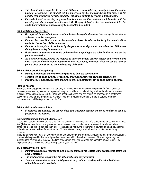- *The student will be expected to arrive at 7:00am on a designated day to help prepare the school building for opening. The student will be supervised by the principal during this time. It is the parent's responsibility to have the student at the school building by 7:00am in this situation.*
- *If a student receives morning duty more than two times, another conference will be called with the parent(s) and the principal to determine if St. Gregory School is the best environment for the student or if additional resources may be needed for the student.*

## *SG -Local School Leave Policy*

- *No pupil will be permitted to leave school before the regular dismissal time, except in the case of sickness or similar emergency.*
- *If a child becomes ill at school, his/her parents or those placed in authority by the parents will be contacted before the child is sent home.*
- *Parents or those placed in authority by the parents must sign a child out when the child leaves during the school day for any reason.*
- *Under no circumstances may a child go home without reporting to the school office and without the parent's permission.*
- *As a safety measure, parents are required to notify the school between 7:30am and 8:00am if their child is absent. If notification is not received form the parents, the school office will call the home or parent' place of business to ensure the safety of the child.*

#### *SG -Local Homework Makeup Policy*

- *Parents may request that homework be picked up from the school office.*
- *Students will be given one day for each day of excused absence to complete assignments.*
- *If absences are planned, teachers should be notified so homework can be given prior to absence.*

#### **Planned Absence**

Parent(s)/guardian(s) have the right and authority to remove a child from school temporarily for family activities. However, any absence, planned or unplanned, may be considered in determining whether the student is making sufficient academic progress. (320.7) Planned absences beyond one day should be preceded by a conference between the teacher and the parents. A written record of the recommendations made to parents regarding classroom work, will be kept in the school office.

## *SG -Local Planned Absence Policy*

 *If absences are planned, the school office and classroom teacher should be notified as soon as possible for the absence.*

## **Individual Withdrawal During the School Day**

A parent or quardian may withdraw a child from school during the school day. If a student attends school for at least four (4) instructional hours on a given day, the withdrawal is not counted as an absence. If the student attends school for at least two (2) but less than four (4) instructional hours, the withdrawal is counted as a half-day absence. If the student attends school for less than two (2) instructional hours, the withdrawal is counted as a full-day absence.

In elementary schools, early childhood programs and extended day programs, it is required that the parent/guardian, or an adult designated by the parent/guardian, meet the child in the school or center office and sign a register indicating the child's name, the date, the time of departure and, if appropriate, the expected time of return. This register remains in the school office throughout the year. (320.8)

## *SG -Local Early Leave Policy*

- *Parents/guardians are required to sign the early dismissal log located in the school office before the child is released.*
- *The child will meet the parent in the school office for early dismissal.*
- *Under no circumstances may a child go home early, without reporting to the school office and without the parent's permission.*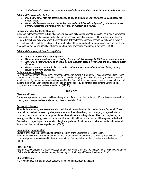*If at all possible, parents are requested to notify the school office before the time of early dismissal.*

#### *SG -Local Transportation Policy*

- *If someone other than the parents/guardians will be picking up your child (ren), please notify the school office.*
- *A child shall be released from the facility only to the child's custodial parent(s) or guardian or to a person, authorized in writing, by the parent(s) or guardian of the child.*

#### **Emergency School or Center Closings**

In case of inclement weather, individual schools and centers will determine what process to use in deciding whether or not to close school. It is recommended that, where possible, schools decide as a POD whether or not to close. Or individual schools may close when their local public district closes; secondary schools may choose to follow a late start schedule. Each local school shall inform families of their procedure for emergency closings and shall have a mechanism for informing families of departures from their procedures adequately in advance. (320.9)

#### *SG -Local Emergency School Closing Policy*

- *At the discretion of the school principal.*
- *When inclement weather occurs, closing of school will follow Maryville R-II District announcement.*
- *Announcements will be made on the radio and television station of Maryville and St. Joseph no later than 6am.*
- *A text-caster and email will also be used to call parents of unscheduled school closing or early release during the school day.*

#### **Daily Attendance Records**

Daily attendance records are required. Attendance forms are available through the Diocesan School Office. These attendance records must be kept on file locally for a period of ten (10) years. The official daily attendance record should be kept by the teacher or a clerk designated by the Principal. Attendance records are to remain in the school building at all times. Daily parental/guardian "sign-in" forms are required for child care centers. Extended day programs are also required to take attendance. (320.10)

## **ACTIVITIES**

#### **Classroom Prayer**

Formal and spontaneous prayer shall be an integral part of each school or center day. Prayer is recommended for opening and closing exercises in elementary classrooms daily. (330.1)

#### **Eucharistic Liturgies**

All students, elementary and secondary, shall participate in regularly scheduled celebrations of Eucharist. These celebrations may be for classes, grades, departments, or the entire school; small or large groups; celebrated in churches, classrooms or other appropriate places where students may be gathered. All-school liturgies may be weekly, monthly, quarterly, seasonal, or for specific dates of local importance, but should be regularly scheduled. Each school is urged to provide a variety in liturgical experiences for students and to instruct students in preparation for and participation in these experiences. (330.2)

#### **Sacrament of Reconciliation**

Students shall have the opportunity for periodic reception of the Sacrament of Reconciliation. In elementary schools, it is recommended that each year students be offered the opportunity to participate in both communal penance services and individual celebrations of reconciliation, so that both rituals may be learned. (330.3)

#### **Prayer Services**

Para liturgical celebrations, prayer services, memorial celebrations etc. shall be included in the religious experiences of all students, elementary and secondary, in keeping with the Liturgical Year of the church. (330.3)

#### **Student Retreats**

It is recommended that Eighth Grade students will have an annual retreat. (330.4)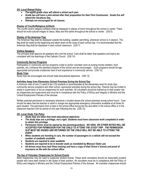#### *SG -Local Retreat Policy*

- *The eighth grade class will attend a retreat each year.*
- *Grade two will have a mini-retreat after their preparation for their First Communion. Grade five will attend the Vocations Day.*
- *Retreats are encouraged for all classes.*

## **Display of Crucifix/Religious Artifacts**

The crucifix and/or religious artifacts shall be displayed in places of honor throughout the school or center. There should be multi-cultural images of Jesus, Mary and the saints throughout the school or center. (330.5)

#### **Display of the American Flag**

The American flag shall be displayed outside the building, weather permitting, whenever school is in session. The flag shall be raised at the beginning and taken down at the close of each school day. It is recommended that the American flag shall be displayed in each school classroom. (330.7)

#### **Visiting Speakers**

The principal shall approve all speakers who visit the school. Care shall be taken that speakers and topics are consistent with the teachings of the Catholic Church. (330.10)

#### **Community Service Programs**

Participation in community service programs (visits to and/or volunteer work at nursing homes shelters, food pantries, etc.) enhance the standard program of the school and are encouraged. Such programs should be age appropriate and provide a balanced view of and experience in community service. (330.12) **Study Trips**

Study trips are encouraged and should meet educational objectives. (330.13)

#### **Activities Away from Elementary School Premises During the School Day**

A minimum ratio of one (1) adult to ten (10) students is recommended at the elementary level for study trips, community service programs and other school -sponsored activities during the school day. Parents may be invited to assist in supervision or act as chaperones for such activities. All volunteers should be trained as to their proper role as chaperones and supervisors and must be in compliance with the Policy of Ethics and Integrity in Ministry and the Critical Employment Policies of the diocese.

Written parental permission is necessary whenever a student leaves the school premises during school hours. Care should he taken that the teacher or adult in charge has appropriate emergency information available at all times for each student. The permission form is kept in the school office during the trip and either in the school office or in the classroom teacher's file for period of one year following the trip. (330.15)

## *SG -Local Study Trip Policy*

- *Study trips are taken that meet educational objectives.*
- *The study trips are a privilege, not a right. Students must have classroom work completed in order to obtain this privilege.*
- *Permission forms must be signed by the parents/guardians. NO ORAL OR OTHER NOTES WILL BE ACCEPTED FOR PERMISSION FOR THE CHILD TO ATTEND THE STUDY TRIP. THE PERMISSION SLIP MUST BE SIGNED AND RETURNED OR THE CHILD WILL NOT BE ABLE TO ATTEND THE EVENT.*
- *When students are traveling in cars, the number of passengers in a vehicle will not exceed the number of seatbelts available.*
- *Students are required to wear seatbelts.*
- *Students are required to be in booster seats as mandated by Missouri State Law.*
- *All drivers must have had Virtus training and have a copy of their Driver's license and proof of insurance on file with the school office.*

#### **The Use of Volunteer Chaperones for School Events**

Adult chaperones may be used to supervise student events. These adult volunteers should be reasonably prudent people who have been trained in the duties of their position. All volunteers must be in compliance with the Policy of Ethics and Integrity in Ministry and the Critical Employment Policies of the diocese. All volunteer chaperones should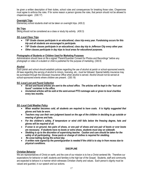be given a written description of their duties, school rules and consequences for breaking those rules. Chaperones must agree to enforce the rules. If for some reason a person ignores the rules, that person should not be allowed to chaperone again. (330.17)

## **Overnight Trips**

Elementary school students shall not be taken on overnight trips. (430.2)

## **Ski Trips**

Skiing should not be considered as a class or study trip activity. (430.3)

#### *SG -Local Class Trips*

- *7/8th Grade classes participate in an educational, class trip every year. Fundraising occurs for this trip and all students are encouraged to participate.*
- *7/8th Grade classes participate in an educational, class day trip to Jefferson City every other year.*
- *Other classes participate in day trips to local areas for educational purposes.*

#### **Photographs of Students or Children Used for Marketing Purposes**

Administrators should have on file a signed "Parent/Guardian Consent for Photos and Recordings" before any photograph or video of a student or child is published for the purpose of marketing. (330.9)

#### **Alcohol**

Each parish and school should establish policies regarding the use of alcohol at parish or school-sponsored events. All laws regarding the serving of alcohol to minors, licensing. etc., must be followed. Special liability insurance may be purchased through the Diocesan Insurance Office when alcohol is served. Alcohol should not be served at school-sponsored events where children are present. (330.19)

#### **S***G -Local Lost and Found Collection*

- *All lost and found articles are sent to the school office. The articles will be kept in the "lost and found" container in the office.*
- *Unclaimed articles will be sold at the semi-annual PTO rummage sale or given to local charities every two months.*

#### *SG -Local Cold Weather Policy*

- *When weather becomes cold, all students are required to have coats. It is highly suggested that gloves and hats be worn.*
- *Teachers may use their own judgment based on the age of the children in deciding to go outside or wearing of gloves and hats.*
- *For the children's safety, if temperature or wind chill falls below the freezing degree, hats and gloves will be required of all.*
- *If snow is on ground, two pairs of shoes, or one pair of shoes and one pair of boots or over boots are necessary. If students have no boots or extra shoes, students must stay on sidewalk.*
- *Sledding is up to the discretion of supervising teacher. Caution and care should be taken for the safety of all participating. Snow pants or change of clothes is required for sledding.*
- *No snow balling during the school day.*
- *A written note signed by the parent/guardian is needed if the child is to stay in from recess due to physical conditions.*

#### **DISCIPLINE**

#### **Christian Behavior**

We are representatives of Christ on earth, and the core of our mission is to live a Christ-centered life. Therefore our expectations for behavior or staff, students and families is the high bar of the Gospel. Students, staff and community are expected to behave in a manner which witnesses Christian charity and values. Each person's dignity must be valued and guarded, in our speech and our actions.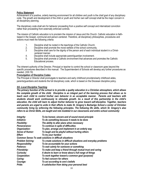#### **Policy Statement**

Achievement of a positive, orderly learning environment for all children and youth is the chief goal of any disciplinary code. The growth and development of the child or youth and his/her own self concept shall be the major concern in all disciplinary planning.

The disciplinary code shall aim for behavior proceeding from a positive self concept and internalized conviction rather than proceeding from externally enforced controls.

The mission of Catholic education is to proclaim the mission of Jesus and His Church. Catholic education is faithbased in the Gospel, communal and person-centered. Therefore, all disciplinary philosophies, procedures and actions must meet the following criteria:

- 1. Discipline shall he rooted in the teachings of the Catholic Church.<br>2. Discipline shall promote the moral welfare of the school community
- 2. Discipline shall promote the moral welfare of the school community.<br>3 Discipline shall care for the dignity of the person and of each individe
- Discipline shall care for the dignity of the person and of each individual student in a Christcentered manner.
- 4. Discipline shall include appropriate parent/guardian involvement.
- 5. Discipline shall promote a Catholic environment that advances and promotes the Catholic Educational process.

The inherent authority of the Director, Principal or teacher to control the school or classroom goes beyond the specific procedures described in this manual. The Superintendent of Schools will develop any further procedures as needed. (330.19)

#### **Promulgation of Discipline Codes**

The Principal or Director shall promulgate to teachers and early childhood providers/early childhood aides, parents/guardians and students the full disciplinary code, which is based on the Diocesan discipline policy.

#### *SG -Local Discipline Teaching*

*The primary function of the school is to provide a quality education in a Christian atmosphere, which allows the complete growth of the child. Discipline is an integral part of the learning process that allows us to teach each child to control his/her own behavior in an acceptable manner. Parents and teachers with students should work continuously to stimulate growth. As a result of this partnership in the child's education, the child will learn to adjust his/her behavior to grow toward self-discipline. Together, teachers and parents are urged to unite in their efforts to make St. Gregory's Barbarigo School a center of Christian community living by enforcing the following principles. The following life skills, which St. Gregory's also refers to as Christ Skills, are taught and role modeled in our classrooms and entire school community:*

| Integrity:                     | To be honest, sincere and of sound moral principle                |  |  |  |  |  |
|--------------------------------|-------------------------------------------------------------------|--|--|--|--|--|
| Initiative:                    | To do something because it needs to be done                       |  |  |  |  |  |
| <b>Flexibility:</b>            | The ability to alter plans when necessary                         |  |  |  |  |  |
| Perseverance:                  | To continue in spite of difficulties                              |  |  |  |  |  |
| Organization:                  | To plan, arrange and implement in an orderly way                  |  |  |  |  |  |
| <b>Sense of Humor:</b>         | To laugh and be playful without hurting others                    |  |  |  |  |  |
| To try your hardest<br>Effort: |                                                                   |  |  |  |  |  |
|                                | <b>Common Sense: To seek solutions in difficult situations</b>    |  |  |  |  |  |
| <b>Problem Solving:</b>        | To create solutions in difficult situations and everyday problems |  |  |  |  |  |
| <b>Responsibility:</b>         | To be accountable for your actions                                |  |  |  |  |  |
| Patience:                      | To wait calmly for someone or something                           |  |  |  |  |  |
| Friendship:                    | To make and keep a friend through mutual trust and caring         |  |  |  |  |  |
| Curiosity:                     | A desire to learn or know about a full range of things            |  |  |  |  |  |
| Cooperation:                   | To work together toward a common goal (purpose)                   |  |  |  |  |  |
| Caring:                        | To feel concern for others                                        |  |  |  |  |  |
| Courage:                       | To act according to one's beliefs                                 |  |  |  |  |  |
| Pride:                         | A satisfaction from doing your personal best                      |  |  |  |  |  |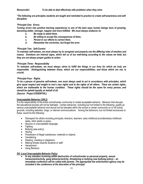*Resourceful: To be able to deal effectively with problems when they arise*

*\*The following are principles students are taught and reminded to practice to create self-awareness and selfdiscipline:*

## *\*Principle One: Errors*

*Turning errors into positive learning experiences is one of the best ways human beings have of growing, becoming better, stronger, happier and more fulfilled. We must always endeavor to:*

- *a. Be ready to admit them,*
- *b. Be willing to accept the consequences of them,*
- *c. Persist in our efforts to correct them,*
- *d. Remember the correction, but forget the error.*

#### *\*Principle Two: Self-Control*

*To maintain self-esteem, we must always try to recognize and properly use the differing roles of emotion and reason. Emotions are internal signs, which tell us of our well-being according to the values we hold, but they are not always proper guides to action.*

#### *\*Principle Three: Responsibility*

*To maintain self-esteem, we must always strive to fulfill the things in our lives for which we truly are responsible. Distinguishing between those, which are our responsibilities, and those which are not, is crucial.*

#### *\*Principle Four: Rights*

*To be a person of genuine self-esteem, one must always seek to act in accordance with principles, which give equal respect and weight to one's own rights and to the rights of all others. There are certain rights, which are inalienable to the human condition. These rights should be the same for every person, and should be upheld equally on behalf of all.*

*(Source: Project ESSENTIAL)*

#### **Unacceptable Behavior (340.2)**

It is the responsibility of the entire school/center community to model acceptable behavior. Behavior that disrupts the educational process will not be tolerated. Certain behaviors, including but not limited to the following, qualify as serious unacceptable behavior and should not be tolerated within the school or center community on or off school grounds, including websites, blogs, or internet communications. Among the behaviors, but not limited exclusively to these, would be the following:

- Disrespect for others including principals, directors, teachers, early childhood providers/early childhood aides, other adults or peers,
- Abusive or unacceptable language,
- Fighting
- Bullying (see policy)
- Hazing
- Possession of illegal substances, materials or objects.
- Vandalizing
- Stealing, cheating or plagiarism,
- Making threats towards students or staff.
- Harassment,
- **•** Gang Behavior.

#### *SG -Local Unacceptable Behavior Policy*

 *In any situation involving willful destruction of school/center or personal property, sexual harassment/activity, gang behavior/activity, threatening or bullying (see bullying policy) – an immediate conference will be called with parents. The appropriate law enforcement agency may be included in the conference at the discretion of the principal.*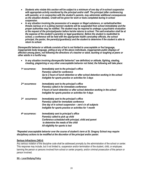- *Students who violate this section will be subject to a minimum of one day of in-school suspension with appropriate activity monitored by the principal and/or staff. The principal (after conferencing with parents), or in conjunction with the student's parents, may administer additional consequences as the situation dictates. Credit will be given for work or tests completed during in school suspension.*
- *In any situation involving the possession of a weapon or illegal substance, or verbalized/written threats (serious or in a joking manner) students will be suspended from school immediately and the proper authorities may be notified. The student may be required to undergo a psychiatric evaluation at the request of the principal/pastor before he/she returns to school. The said evaluation shall be at the expense of the student's parent(s) or legal guardian(s). Before the student is readmitted to school, a conference will be held with the appropriate health care/safety officials, the school principal, the pastor, the parent(s)/guardian(s) and the student to determine if the student is able to return to school.*

*Disrespectful behavior or attitude consists of but is not limited to unacceptable or foul language, inappropriate body language, yelling at any of the above individuals, inappropriate public displays of affection among peers, not following the directions of a teacher or adult, taunting or laughing at peers or other adults in a hurtful way.*

| In any situation involving disrespectful behavior(* see definition) or attitude, fighting, stealing, |
|------------------------------------------------------------------------------------------------------|
| cheating, plagiarizing or any other unacceptable behavior not listed, the following will take place: |

| 1 <sup>st</sup> occurrence:    | Immediately sent to the principal's office<br>Parent(s) called for conference                                                               |
|--------------------------------|---------------------------------------------------------------------------------------------------------------------------------------------|
|                                | Up to 2 hours of lunch detention or after school detention working in the school<br>Ineligible for sports practice or activities for 2 days |
| 2 <sup>nd</sup> occurrence:    | Immediately sent to the principal's office                                                                                                  |
|                                | Parent(s) called in for immediate conference                                                                                                |
|                                | 4 hours of lunch detention or after school detention working in the school<br>Ineligible for sports practice or activities for 4 days       |
| 3 <sub>rd</sub><br>occurrence: | Immediately sent to the principal's office                                                                                                  |
|                                | Parent(s) called for immediate conference                                                                                                   |
|                                | One day of in school suspension - zero's in all subjects                                                                                    |
|                                | Ineligible for sports practice or activities for 1 month                                                                                    |
| 4 <sup>th</sup> occurrence:    | Immediately sent to principal's office                                                                                                      |
|                                | Parent(s) called to pick up child                                                                                                           |
|                                | Conference scheduled with principal, child and parent<br>to determine the needs of the child                                                |
|                                | All eligibility for sports is lost                                                                                                          |
|                                |                                                                                                                                             |

*\*Repeated unacceptable behavior over the course of student's term at St. Gregory School may require disciplinary actions to be modified at the discretion of the principal and/or pastor.*

#### **Serious Infractions (340.4)**

Any serious violation of the discipline code shall be addressed promptly by the administration of the school or center. This response may include, but it not limited to, suspension and/or termination of the student, child, or employee; banning the person or persons involved from school or center property; and/or criminal prosecution of the person or person involved.

#### **SG – Local Bullying Policy**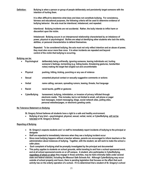**Definition: Bullying is when a person or group of people deliberately and persistently target someone with the intention of hurting them.** 

> **It is often difficult to determine what does and does not constitute bullying. For consistency, fairness and educational purposes, the following criteria will be used to determine evidence of bullying behavior: the acts must be intentional, imbalanced, and repeated.**

**Intentional: Bullying incidents are not accidental. Rather, the bully intends to inflict harm or discomfort upon the victim.**

**Imbalanced: Bullying occurs in an interpersonal relationship characterized by an imbalance of power, physical or psychological. Bullies are adept at identifying other students who lack the skills, abilities, or personal characteristics to defend themselves.**

**Repeated: To be considered bullying, the acts must not only reflect intention and an abuse of power, they must also occur more than once. It is when incidents are repeated and beyond control of the victim that bullying is occurring.**

#### **Bullying can be:**

- **Psychological deliberately being unfriendly, ignoring someone, leaving individuals out, hurting someone's feelings, tormenting (e.g. hiding books, threatening gestures, handwritten notes) making the target feel singled out and uncomfortable**
- **Physical pushing, hitting, kicking, punching or any use of violence**
- **Sexual unwanted physical contact or sexually suggestive comments or actions**
- **Verbal name calling, sarcasm, spreading rumors, teasing, threats, foul language**
- **Racist racial taunts, graffiti or gestures**
- **CyberBullying harassment, bullying, intimidation, or invasion of privacy inflicted through electronic media. This includes, but is not limited to email, cell phone or pager text messages, instant messaging, blogs, social network sites, polling sites, personal websites/pages, or electronic greeting cards.**

#### **No Tolerance Statement on Bullying**

- **St. Gregory School believes all students have a right to a safe and healthy environment.**
- **Bullying of any kind ---psychological, physical, sexual, verbal, racist, or CyberBullying, will not be tolerated at St. Gregory's School.**

#### **Reporting of Bullying**

- **St. Gregory's expects students and / or staff to immediately report incidents of bullying to the principal or designee**
- **Staff are expected to immediately intervene when they see a bullying incident occur**
- **Since most bullying happens without a teacher witness, parents are encouraged to inform teachers or the administration about instances of bullying. Together, with the student, we will work to make the school a safer place.**
- **Each complaint of bullying shall be promptly investigated by the principal and documented**
- **This policy applies to students on school grounds, while traveling to and from a school sponsored event, and at all school sponsored events on or off campus. A student, who participates in CyberBullying, regardless of where or when they engage in those activities, may be held criminally liable under several state and federal statutes, including the Missouri Safe Schools Act. Although CyberBullying may occur outside of school property and hours, there is pending legislation that focuses on the effect that such activity has on the orderly operation of a school. If it is determined that a student of St. Gregory's school**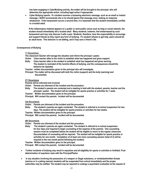**has been engaging in CyberBullying activity, the matter will be brought to the principal, who will determine the appropriate action, including legal action if appropriate.** 

 **Cyber Bullying reports - If a student receives a harassing electronic message, such as an email or instant message, i-SAFE recommends she or he should ignore that message once, making no response whatsoever. If the harassment occurs a second time, it is important that the student immediately confide in a trusted adult.**

**If the inflammatory material appears on a public or semi-public venue such as blog or social network, the student should immediately tell a trusted adult. Many students, however, feel embarrassed by such harassment and may only discuss it with a peer. Students, therefore, have the responsibility to encourage and support friends as they report any form of bullying. If a student refuses to get help, peers should let an adult know. This behavior is not tattling, and it may save a friend's life.**

#### **Consequences of Bullying**

#### **1 st Occurrence**

**The classroom teacher will manage the situation and inform the principal / pastor.**

- **Victim: Class teacher talks to the victim to establish what has happened and gives support.**
- **Bully: Class teacher talks to the student to establish what has happened and gives warning.**
	- **The student is reminded of the harmful effects of bullying, and the consequences should the behavior be repeated.**
- **Teacher: written documentation given to the principal who will investigate.**
- **Principal: The matter will be discussed with both the victim (support) and the bully (warning) and documented.**

#### **2 nd Occurrence**

**Parents will be informed and involved.** 

- **Victim: Parents are informed of the incident and the procedure.**
- **Bully: The student's parents are contacted and a meeting is held with the student, parents, teacher and the principal / pastor. The student will be ineligible for sports practice or activities for 1 week.**
- **Teacher: Written documentation given to the principal.**
- **Principal: Will contact the parents. Incident will be documented**

#### **3rd Occurrence**

**Victim: Parents are informed of the incident and the procedure.**

- **Bully: The student's parents are again contacted. The student is referred to in-school suspension for two days. The student will be ineligible for sports practice or activities for two weeks.**
- **Teacher: Written documentation given to the principal.**

**Principal: Will contact the parents. Incident will be documented.**

#### **4th Occurrence**

**Victim: Parents are informed of the incident and the procedure.**

**Bully: The student's parents are again contacted. The student is referred to in-school suspension for four days and required to begin counseling at the expense of the parents. One counseling session must be completed before the student will be eligible to return to the regular classroom. Documentation of counseling will be required. The student will be ineligible for sports practice or activities for one month. Completion of at least one more counseling session (total of 2) will be required in the one month period following the incident.** 

**Teacher: Written documentation given to the principal.**

**Principal: Will contact the parents. Incident will be documented.**

- **Further incidents of bullying may result in expulsion and all eligibility for sports or activities is forfeited. Final determination of expulsion rests with the Principal/Pastor.**
- **In any situation involving the possession of a weapon or illegal substance, or verbalized/written threats (serious or in a joking manner) students will be suspended from school immediately and the proper authorities may be notified. The student may be required to undergo a psychiatric evaluation at the request of**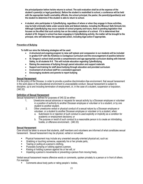**the principal/pastor before he/she returns to school. The said evaluation shall be at the expense of the student's parent(s) or legal guardian(s). Before the student is readmitted to school, a conference will be held with the appropriate health care/safety officials, the school principal, the pastor, the parent(s)/guardian(s) and the student to determine if the student is able to return to school.** 

 **A student, who participates in CyberBullying, regardless of where or when they engage in those activities, may be held criminally liable under several state and federal statutes, including the Missouri Safe Schools Act. Although CyberBullying may occur outside of school property and hours, there is pending legislation that focuses on the effect that such activity has on the orderly operation of a school. If it is determined that student of St. Gregory's school has been engaging in CyberBullying activity, the matter will be brought to the principal, who will determine the appropriate action, including legal action if appropriate.** 

#### **Prevention of Bullying**

**To fulfill our aims the following strategies will be used:**

- **A structured and ongoing program to raise self esteem and compassion in our students will be included in grades K-8 th with the** *Kindness is Contagious* **Curriculum and the encouragement of positive behavior**
- **St. Gregory's school shall provide a comprehensive and age-appropriate curriculum dealing with Internet Safety, to all students K-8. This will include education regarding CyberBullying.**
- **Raising the awareness of bullying through parent education and support materials**
- **Support and training for staff about bullying through education and provided curriculum**
- **Involvement of all school staff for a consistent approach**
- **Encouraging students and parents to report bullying**

#### $\bullet$ **Sexual Harassment**

It is the policy of the Diocese, in order to provide a positive discrimination-free environment, that sexual harassment in the work place or the educational environment is unacceptable conduct. Sexual harassment is subject to discipline, up to and including termination of employment, or, in the case of a student, suspension or expulsion. (340.32)

#### **Definition of Sexual Harassment**

Sexual harassment is defined for purposes of 340.32 as either:

- 1. Unwelcome sexual advances or requests for sexual activity by a Diocesan employee or volunteer in a position of authority to another Diocesan employee or volunteer or to a student, or by one student to another student.
- 2. Other unwelcome verbal or physical conduct of a sexual nature by a Diocesan employee or volunteer, or a student to another Diocesan employee or volunteer or to a student, when:
	- a. Submission to or rejection of such conduct is used explicitly or implicitly as a condition for academic or employment decisions; or
	- b. The purpose or result of such conduct to a reasonable person is to create an intimidating, hostile, or offensive environment. (340.33)

#### **Sexual Harassment**

Care should be taken to ensure that students, staff members and volunteers are informed of what constitutes sexual harassment. Sexual harassment may be physical, verbal or nonverbal.

- Physical harassment may include any unwanted sexually-oriented physical act, such as:
- Grabbing or touching someone, especially his or her private parts,
- **Tearing or pulling at a person's clothing,**
- **Purposely bumping or rubbing against a person,**
- Kissing or holding a person against his or her will, or
- Impeding a person's movements or preventing a person from moving freely.

Verbal sexual harassment means offensive words or comments, spoken privately to a person or in front of others. For example:

**EXECOMMENT** Comments about body parts or rating people's bodies,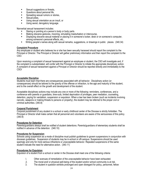- Sexual suggestions or threats,
- **Questions about personal life,**
- **Spreading sexual rumors or stories,**
- **Sexual jokes,**
- Using sexual orientation as an insult, or
- Using sexist, derogatory language.

Nonverbal sexual harassment includes:

- Staring or pointing at a person's body or body parts.
- Making obscene gestures, mooning, simulating masturbation or intercourse,
- Displaying obscene sexual material or placing it in someone's locker, desk or on someone's computer, among someone's personal effects, etc.,
- Writing people's names along with sexual remarks, suggestions, or drawings in public places. (340.34)

#### **Complaint Procedure**

Any employee or student who believes he or she has been sexually harassed should report the complaint to the Principal or Director. The Principal or Director will gather preliminary information and then report the complaint to the CSO.

Upon receiving a complaint of sexual harassment against an employee or student, the CSO will investigate and, if the complaint is substantiated, will confer with the Principal or Director to initiate the appropriate disciplinary action. A complaint of sexual harassment against a Principal or Director should be reported directly and immediately to the CSO/

#### **Acceptable Discipline**

Students must learn that there are consequences associated with all behavior. Disciplinary action (or consequences) should be tailored to the gravity of the offense or infraction, to the age and maturity of the student, and to the overall effect on the growth and development of the student.

Acceptable disciplinary actions may include any one or more of the following: reminders, conferences, and a conference with parents or guardians, time-outs, limited deprivation of privileges, peer mediation, counseling, detention, paying for vandalism, suspension or expulsion. When a law has been broken (such as incidents involving narcotic, weapons or making threats to persons or property), the student may be referred to the proper civil or criminal authorities. (340.8)

#### **Corporal Punishment**

Corporal punishment of any student in a school or early childhood center of the Diocese is strictly forbidden. The Principal or Director shall make certain that all personnel and volunteers are aware of the seriousness of this policy. (340.9)

#### **Procedures for Detention**

Parents/guardians always shall be notified of student detentions. Parents/guardians of elementary students shall be notified in advance of the detention. (340.10)

#### **Procedures for Suspension**

Schools using suspension as a mode of discipline must publish guidelines to govern suspensions in conjunction with diocesan guidelines. Suspension of students may be in-school or off-campus. Suspensions should be used sparingly and only for more serious infractions or unacceptable behavior. Repeated suspensions of the same student indicate the need for alternative action. (340.11)

#### **Procedures for Expulsion**

Expulsion of a student from a school or center in the Diocese shall meet one of the following criteria:

- I. Other avenues of remediation of the unacceptable behavior have been exhausted.
- 2. The moral and/ or physical well-being of the student and/or school community is at risk.<br>3. The student in question exhibits prolonged and open disregard for policy, personnel, fell
- The student in question exhibits prolonged and open disregard for policy, personnel, fellow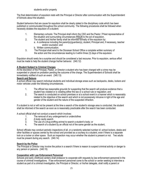The final determination of expulsion rests with the Principal or Director after communication with the Superintendent of Schools about the situation.

Student behaviors that are cause for expulsion shall be clearly stated in the disciplinary code which has been published or communicated throughout the school community. The following procedures shall be followed when necessity dictates the expulsion of a student:

- 1. Elementary schools: The Principal shall inform the CSO and the Pastor / Priest representative of the situation and surrounding circumstances **PRIOR** to the act of expulsion.
- 2. The student and his/her family shall be informed formally of the expulsion by:
	- a. A conference including the parent(s)/guardian(s), student, Principal and, if necessary, teacher and/or counselor; and
	- b. Written communication.
- 3. The Principal shall send to the Diocesan School Office a complete written summary of the action and the circumstances leading to it within three (3) days of the expulsion.

Expulsion should rarely be a surprise and should be considered a last recourse. Prior to expulsion, serious effort must be made to help the student change his/her behavior. (340.12)

# **A Student Subject to Criminal Charges**

At the discretion of the Principal, Pastor, or Director a student who has been charged with a crime may be suspended or placed on probation pending the outcome of the charge. The Superintendent of Schools shall be immediately notified of such an event. (340.13)

## **Search and Seizure**

A school official may search individual students and individual storage areas such as backpacks, desks, lockers and motor vehicles under the following circumstances.

- 1. The official has reasonable grounds for suspecting that the search will produce evidence that a student has violated or is violating either the law or a school rule or regulation; and
- 2. The search is conducted on school premises or at a school event in a manner which is reasonably related to the objective of the search and which is not excessively intrusive in light of the age and gender of the student and the nature of the suspected infraction.

If a student is not or will not be present at the time a search of the student's storage area is conducted, the student shall be informed of the search as soon as is reasonably practicable after the search has been conducted.

A school official shall not conduct a search which involves:

- 1. The removal of any undergarment or underclothes<br>2. A body cavity search
- 2. A body cavity search
- 3. The use of a drug-sniffing animal to search a student's body; or
- 4. The search of a student by an official not of the same gender as the student,

School officials may conduct periodic inspections of all, or a randomly selected number of, school lockers, desks and other facilities or spaces owned by the school and provided as a courtesy to a student, even if there is a separate lock on a locker or other space. Such an inspection may occur whether the student is present or not. Two adults must be present during any search. (340.14)

## **Search by the Police**

The Principal or Director may involve the police in a search if there is reason to suspect criminal activity or danger to any person or persons. (340.15)

# **Cooperation with Law Enforcement Personnel**

Schools and early childhood centers shall endeavor to cooperate with requests by law enforcement personnel in the course of criminal investigations. If law enforcement personnel come to the school or center seeking to interview a student as part of a criminal investigation, the Principal or Director, or his/her delegate, shall notify a parent or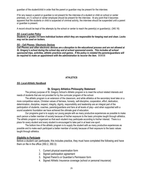guardian of the student/child in order that the parent or guardian may be present for the interview.

If for any reason a parent or guardian is not present for the interview of a student or child on school or center premises, on (1) school or center employee should be present for the interview. At any point that it becomes apparent that the students or child is suspected of criminal activity, the interview should be suspended until a parent or guardian is present.

A record should be kept of the attempts by the school or center to reach the parent(s) or guardian(s). (340.16)

#### *SG -Local Locker Policy*

*Students in grades 5-8 have individual lockers which they are responsible for keeping neat and clean. Locks may not be used on lockers.*

#### *SG – Cell Phones / Electronic Devices*

*Cell Phones and other electronic devices are a disruption to the educational process and are not allowed at St. Gregory's school during the school day and at school sponsored events. This includes all school*  sponsored trips, activities, athletic practices and games. If the policy is violated the parents/guardians will *be required to make an appointment with the administration to recover the item.* 9/04/08

## **ATHLETICS**

#### *SG- Local-Athletic Handbook*

#### **St. Gregory Athletics Philosophy Statement**

The primary purpose of St. Gregory School's Athletic program is to meet the school related interests and needs of students that are not provided for by the curricular program of the school.

The athletic program is an extension of the classroom, and while athletics at the secondary level take on a more competitive nature, Christian values of fairness, honesty, self-discipline, cooperation, effort, dedication, determination, discipline, respect, integrity, dignity, responsibility and leadership are an integral part of the participation of students, coaches, parents/guardians and fans at all levels of play---and when supported with a sound academic foundation we have achieved the ultimate goal of education.

Our programs goal is to supply our young people with as many productive experiences as possible to make each person a better member of society because of his/her exposure to the basic principles taught through athletics. The athletic program is organized so that each student may participate according to his/her interest. There is a place for every student and every student is encouraged to take part in at least one sport.

The bottom line of the athletic program is to supply the student with as many productive experiences as possible and to make each participant a better member of society because of their exposure to the basic values taught through athletics.

#### *Eligibility to Participate*

Before a student can participate, this includes practice, they must have completed the following and have them on file in the office (350.2, 350.3):

- 1. Current physical examination form
- 2. Signed participation agreement
- 3. Signed Parent's or Guardian's Permission form
- 4. Signed Athletic Insurance coverage (school or personal insurance)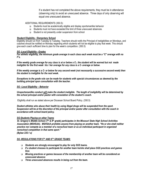If a student has not completed the above requirements, they must be in attendance (observing only) to avoid an unexcused absence. Three days of only observing will equal one unexcused absence.

#### ADDITIONAL REQUIREMENTS (350.5):

- $\Box$  Students must be academically eligible and display sportsmanlike behavior
- Students must not have exceeded the limit of three unexcused absences.
- Student is not presently under suspension from school

#### **Student Eligibility - Elementary School**

Eligibility should run from Tuesday to Tuesday. Teachers should notify the Principal of ineligibilities on Mondays, and coaches should be notified on Monday regarding which students will not be eligible to play that week. This should give each coach sufficient time to plan for the week's competition. (350.5)

#### *SG -Local Eligibility –Grades*

*For athletic eligibility, the minimum grade average in each class each week must be a "C" average with no F's.* 

*If the weekly grade average for any class is at or below a C-, the student will be warned but not made ineligible for the first week his / her average for any class is a C- average or below.*

*If the weekly average is a C- or below for any second week (not necessarily a successive second week) then the student is ineligible for the next week.*

*Exceptions to the grade rule can be made for students with special circumstances as deemed by the building principal upon consultation with the teacher.*

#### *SG –Local Eligibility – Behavior*

*Unsportsmanlike conduct will make the student ineligible. The length of ineligibility will be determined by the school principal and/or pastor with consolation of the student's coach.* 

Eligibility shall run as stated above per Diocesan School Board Policy. (350.5)

*Student athletes who abuse their health by using illegal drugs will be suspended from the sport. Suspension will be at the discretion of the principal and/or pastor after consultation with the coach in accordance with school board policy.*

#### *SG-Students Playing on other Teams*

*St. Gregory's Middle School (7th & 8th grade) participates in the Missouri State High School Activities Association (MSHSAA). MSHSAA prohibits anyone from playing on another team. "He or she shall neither practice nor compete as a member of a nonschool team or as an individual participant in organized nonschool competition in that same sport." (Bylaw 235.1 a)*

#### *SG -REGULATIONS FOR 5TH AND 6TH GRADE TEAMS:*

- *Students are strongly encouraged to play for only SGS teams.*
- *If a student chooses to participate for another team he/she shall place SGS practices and games first.*
- *Missing practices or games because of the membership of another team will be considered an unexcused absence*
- *Three unexcused absences results in being cut from the team.*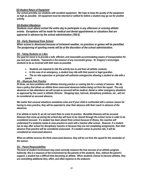## *SG-Student Return of Equipment*

*Our school provides our students with excellent equipment. We hope to keep the quality of the equipment as high as possible. All equipment must be returned or settled for before a student may go out for another activity.*

## *SG-Student Attendance*

*Students must attend school the entire day to participate in any afternoon or evening athletic events. Exceptions will be made for medical and dental appointments or situations that are approved in advance by the school administration (350.6).* 

## *SG - Early Dismissal from School*

*When school is dismissed because of inclement weather, no practices or games will be permitted. The postponing of sporting events will be at the discretion of the school administration.*

#### *SG - Taking Students on a Bus*

*Our goal for travel is to provide a safe, efficient, and reasonable accommodating means of transportation for you and your students. Teamwork is the essence of any successful group - St. Gregory's encourages students to be as involved with their team as possible.* 

- *Students are required to ride the activity bus to and from all athletic contests.*
- *In the case of an emergency, a student may ride with their parent or legal guardian.*
- *The on–site supervisor or principal will authorize emergencies allowing a student to ride with a parent.*

#### *SG – Absences from Practice*

*At times, we have problems with athletes missing practice or coming late for a variety of reasons. We do have a policy that allows an athlete three unexcused absences before being cut from the squad. The only absences or late attendance we will accept as excused will be medical, dental or other emergency situations as approved by the coach or Athletic Director. Shopping trips, haircuts, disciplinary problems, etc., will not be considered an excused absence.*

*We realize that unusual situations sometimes arise and if your child is confronted with a serious reason for having to miss practice, they will be expected to clear their absence with their coach in advance of the absences.*

*If an athlete is home ill, we do not want them to come to practice. Bonafide illnesses will be excused. Illnesses that come up during the school day will have to be cleared through the school nurse in order to be considered excused. If a student has been absent from school because of illness, the coaches will understand if a students needs to miss practice to work with a teacher after school. However, if a student has to stay after school for disciplinary reasons or because they are not completing assignments, then their absence from practice will be considered unexcused. If a student comes to practice late, it will be considered an unexcused absence.*

*When an athlete receives the third unexcused absence, they will be cut from the squad for the remainder of the season.*

#### *SG – Parent Responsibilities*

*The level of student involvement may most correctly measure the true success of an athletic program. Indirectly, this is a measure of the involvement by the parents of the students. Also, without the parent's support, a student has a difficult time becoming an athlete. When students choose to become athletes, they are committing additional time, effort, and often expense to the endeavor.*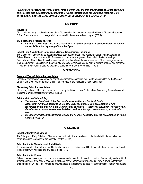*Parents will be scheduled to work athletic events in which their children are participating. At the beginning of the season sign-up sheet will be sent home for you to indicate which job you would most like to do. These jobs include: The GATE, CONCESSION STAND, SCOREBOOK and SCOREBOARD.* 

#### **INSURANCE**

#### **Insurance**

All schools and early childhood centers of the Diocese shall be covered as prescribed by the Diocesan Insurance Office. Premiums for such coverage shall be included in the annual school budget. (360.1)

#### *SG -Local School Insurance Plans*

 *Individual school insurance is also available at an additional cost to all school children. Brochures are available at the beginning of the school year.*

#### **School Time Accident and Catastrophic School Time Accident Insurance**

The Diocese of Kansas City-St. Joseph provides both Basic School Time Accident Insurance and Catastrophic School Time Accident Insurance. Notification of such insurance is given to Principals in the fall of each year. Principals and Athletic Directors will ensure that all parents and guardians are informed of the coverage as well as the procedure for filing a claim. In the event of any accident, forms should be sent to parents or guardians promptly. A record of the accident should be kept in the student's Permanent Record file. (360.2)

#### **ACCREDITATION**

#### **Preschool/Early Childhood Accreditation**

Preschool programs which operate as part of an elementary school are required to be accredited by the Missouri Chapter of the National Federation of Non-Public School State Accrediting Association. (365.1)

#### **Elementary School Accreditation**

Elementary schools of the Diocese are accredited by the Missouri Non-Public School Accrediting Associations and the North Central Association/AdvancEd (365.2)

#### *SG -Local Accreditation Policy*

- *The Missouri Non-Public School Accrediting association and the North Central Association/AdvancEd accredits St. Gregory Barbarigo School. This accreditation is fully recognized by the Missouri State Department of Education. A yearly self-evaluation is conducted by the administration and overseen by the DSO as well as a five –year assessment by an evaluation team.*
- *St. Gregory Preschool is accredited through the National Association for the Accreditation of Young Children. (NAEYC)*

#### **PUBLICATIONS**

#### **School or Center Publications**

The Principal or Early Childhood Director is responsible for the supervision, content and distribution of all written communications representing the school or center. (370.1)

#### **School or Center Websites and Social Media**

It is recommended that Schools and Centers have a website. Schools and Centers must follow the diocesan Social Media Policy with websites and any social media. (370.4)

#### **School or Center Roster**

School or center rosters, or buzz books, are recommended as a tool to assist in creation of community and a spirit of interdependence. If the school or center publishes a roster, parents/guardians should know in advance that their phone numbers will be listed. Under no circumstances is the roster to be used for commercial solicitation without the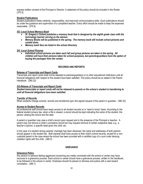express written consent of the Principal or Director. A statement of this policy should be included in the Roster. (370.5)

#### **Student Publications**

Student publications foster creativity, responsibility, and improved communications skills. Such publications should be under the guidance and supervision of a competent teacher. Every effort should be made to keep the expenses reasonable. (370.6)

#### *SG -Local School Memory Book*

- *St. Gregory's School publishes a memory book that is designed by the eighth grade class with the technology teacher serving as the advisor.*
- *Memory Books will be published in the spring. The memory book will include school pictures and candid shots.*
- *Memory book fees are listed in the school directory.*

#### *SG -Local School Pictures*

 *Individual school pictures are taken each fall and group pictures are taken in the spring. All children will have their pictures taken for school purposes, but parents/guardians have the option of buying the packages from the vendor.*

## **RECORDS AND REPORTS**

#### **Release of Transcripts and Report Cards**

Transcripts and report cards shall not be released to parents/guardians or to other educational institutions until all financial obligations with respect to the student have been satisfied. This policy should be so stated in the Parent Handbook. (380.32)

#### *SG-Release of Transcripts and Report Cards*

*Student transcripts or report cards will not be released to parents or the school a student is transferring to until all financial obligations have been satisfied.*

#### **Transfer of Records**

When students change schools, records are transferred upon the signed request of the parent or guardian. (380.33)

## **Access to Student Records**

All professional staff should have ready access to all student records on a "need to know" basis. According to the federal student privacy law, when a file is viewed, a record should be kept indicating the name of the student, the person viewing the record and the date.

A parent or guardian may view a child's record upon request and in the presence of the Principal or teacher. A parent may not remove a child's cumulative record but may request removal of certain subjective data, e.g., a teacher's opinion, a specific label given the child, etc.

In the case of a student whose parents' marriage has been dissolved, the name and addresses of both parents should appear in the student file. Both parents shall have access to their child's school records, except for a noncustodial parent in the case where the school has been provided with a certified copy of a court order denying visitation rights with the child. (380.5)

#### **GRIEVANCE**

#### **Grievance Policy**

Any person or persons feeling aggrieved concerning any mailer connected with the school or center may have recourse to a grievance process. Each school or center should have a grievance process, written in the handbook, to be followed in the school or center. Emphasis should he placed on fairness and justice with a view toward conciliation. (385.1)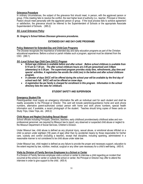#### **Grievance Procedure**

In ordinary circumstances, the subject of the grievance first should meet, in person, with the aggrieved person or group. If this meeting fails to resolve the conflict, the next higher level of authority (i.e., teacher, Principal or Director, Pastor) should meet personally with the aggrieved person or group. If the local process fails to achieve agreement or satisfaction, the grievance should be referred to the Superintendent of Schools or the appropriate Associate Superintendent of Schools. (385.2)

#### *SG -Local Grievance Policy*

#### *St. Gregory's School follows Diocesan grievance procedures.*

#### **EXTENDED-DAY AND DAY-CARE PROGRAMS**

#### **Policy Statement for Extended-Day and Child-Care Programs**

The Diocese recognizes the importance of extended-day and early education programs as part of the Christian educational experience. Before a school or parish initiates such a program, approval must be obtained from the CSO. (390.1)

#### *SG -Local School Age Child Care (SACC) Program*

- *School age childcare is available before and after school. Before school childcare is available from 6:15 am to 7:30 am. The after school childcare hours are 2:45 pm (preschool) and 3:00pm (elementary) to 5:30 pm. The supervised program provides study time, refreshments, play time and special activities. A registration fee enrolls the child (ren) in the before and after school childcare program.*
- *A calendar of days SACC will be offered during the school year will be available by the first day of school each fall. SACC will not be offered on snow days.*
- *A registration fee per family is charged for enrollment in this program. Information in the school directory lists the rates for childcare.*

#### **STUDENT SAFETY AND SUPERVISION**

#### **Emergency Student File**

Parent/guardian must supply an emergency information file with an individual card for each student and shall be readily accessible to the Principal or Director. This card will include parent(s)/guardian(s) home and work phone numbers, alternative parent-authorized contact person with home and work phone numbers, special health information and, if available, a recent photograph of the student. Teaches should bring copies of these cards on Study Trips, Class Trips, etc. (400.2)

#### **Child Abuse and Neglect (Including Sexual Abuse)**

School officials including Principals, Directors, teachers, early childhood providers/early childhood aides and nonprofessional personnel, are required by Missouri law to report, any observed or suspected child abuse or neglect to the Missouri Department of Social Services, Children's Division.

Under Missouri law, child abuse is defined as any physical injury, sexual abuse, or emotional abuse inflicted on a child (a person under eighteen [18] years of age) other than by accidental means by those responsible for his/her care, custody and control (including a teacher), except that discipline, including spanking, administered in a reasonable manner is not considered to be child abuse under state law.

Under Missouri law, child neglect is defined as any failure to provide the proper and necessary support, education to the extent required by law, nutrition, medical, surgical or any other care necessary for a child's well-being. (400.4)

#### **Visits by Division of Family Services Employees to a School or Center**

If a Division of Family Services employee visits a school or center to interview a child regarding an incident that occurred at the school or center or outside the school or center, the Principal or Director may offer to attend the interview in order to give support to the child. (400.4)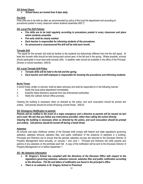## *SG School Doors*

*School doors are locked from 8-3pm daily.*

## **Fire Drill**

Fired drills are to be held as often as recommended by policy of the local fire department and according to procedures posted in every classroom where students assemble.(400.7)

#### *SG -Local Fire Drill Policies*

- *Fire drills are to be held regularly according to procedures posted in every classroom and place where students assemble.*
- *Fire exits shall be clearly marked.*
- *Each teacher is responsible for informing students of the procedures.*
- *An announced or unannounced fire drill will be held each month.*

#### **Tornado Drill**

The signal for the tornado drill shall be familiar to the students but distinctively different from the fire drill signal. At least two tornado drills should be held during each school year; in the fall and in the spring. Where possible, schools should participate in local area-wide tornado drills. A weather radio should be available in the office of the Principal, Director or school secretary. (400.8)

#### *SG -Local Tornado Drill Policy*

- *Tornado drills will be held in the fall and the spring.*
- *Each teacher and staff employee is responsible for knowing the procedures and informing students.*

#### **Bomb Threat**

A bomb threat, written or phoned, shall be taken seriously and shall be responded to in the following manner:

- 1. Notify the local police department immediately.
- 2. Explicitly follow directions received from law enforcement authorities.
- 3. Notify the Catholic School Office promptly.

Clearing the building is necessary when so directed by the police, and such evacuation should be prompt and orderly. Cell phones should be turned off during a bomb threat. (400.9)

#### *SG- Emergency Notification to parents*

*Parents will be notified in the event of a major emergency and a directive to parents will be issued via text and e-mail. We ask that you follow any instructions provided, rather than calling the school directly. Clearing the building is necessary when so directed by the police, and such evacuation should be prompt and orderly. Cell phones should be turned off during a bomb threat.*

#### **Asbestos**

All schools and early childhood centers of the Diocese shall comply with federal and state regulations governing asbestos, asbestos removal, asbestos files, and public notification of the presence of asbestos in a building. Principals and Directors are to ensure that the periodic asbestos surveys are returned to the Diocesan Director of Property Management twice annually, on January 1 and June 1. Principal and Directors will notify parents and patrons of any asbestos on the premises each fall. A copy of the notification will be sent to the Diocesan Director of Property Management on or before September 1.

#### *SG –No Asbestos Information*

- *St. Gregory's School has complied with the directives of the Diocesan Office with respect to the regulations governing asbestos, asbestos removal, asbestos files and public notification according to the directives. The file and letters of notification are found in the principal's office.*
- *There is no asbestos in St. Gregory School or Preschool*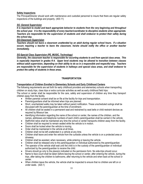## **Safety Inspections**

The Principal/Director should work with maintenance and custodial personnel to insure that there are regular safety inspections of the buildings and property. (400.11)

#### *SG -General Supervision*

*It is important to model and teach appropriate behavior to students from the very beginning and throughout the school year. It is the responsibility of every teacher/coordinator to discipline students when appropriate. Teachers are responsible for the supervision of students and shall endeavor to protect their safety during the school day.* 

## *SG-Classroom Supervision*

*Teachers should not leave a classroom unattended by an adult during regular school hours. If a situation occurs requiring a teacher to leave the classroom, he/she should notify the office or another teacher immediately.*

#### *SG-Special Class Supervision (PE, MUSIC, Technology)*

*Generally, the classroom teacher is responsible for escorting students to and from special class areas. This is especially important in grades K-4. Upper level students may be allowed to transition between classes without adult supervision, depending on their ability to do so in a responsible and respectful way. Teachers are responsible for the supervision of students in hallways and special class areas, and shall endeavor to protect the safety of students in these areas.*

#### **TRANSPORTATION**

#### **Transportation of Children Enrolled in Elementary Schools and Early Childhood Centers**

The following requirements are set forth for early childhood providers and elementary schools when transporting children on study trips, class trips or extra curricular activities as well as early childhood field trips: The school or center shall be responsible for the care, safety and supervision of children any time they transport children away from the facility.

- Written parental consent shall be on file at the facility for trips and transportation.
- Parents/guardians shall be informed when trips are planned.
- Short, unscheduled walks may be taken without parent notification. These unscheduled outings shall be discussed with the parent/guardian at the time of enrollment.
- All children shall be seated in a permanent seat and restrained by seat belts or child restraint devices as required by Missouri law.
- Identifying information regarding the name of the school or center, the names of the children, and the names, addresses and telephone numbers of each child's parent/guardian shall be carried in the vehicle.
- Staff/child ratios shall be maintained any time the school or center transports children away from the facility.
- Children shall be required to remain seated while the vehicle is in motion.
- Doors shall be locked when the vehicle is moving.
- Order shall be maintained in the vehicle at all times.
- Children shall not be left unattended in a vehicle at any time.
- Children shall leave and enter the vehicle from the curbside unless the vehicle is on a protected area or driveway.
- Children shall be assisted, when necessary, while entering or leaving the vehicle.
- Children shall be released only to the parent/guardian or individual authorized by the parent/guardian.
- The operator of the vehicle shall wait until the child is in the custody of the parent/guardian or individual authorized by the parent/guardian to receive the child.
- Drivers should go only to the place(s) indicated on the permission form. No side-trips should occur.
- Name to face count shall be taken before leaving the school or center, after entering the vehicle, during the trips, after taking the children to bathrooms, after returning to the vehicle and when back at the school or center.
- When children leave the vehicle, the vehicle shall be inspected to ensure that no children are left on or under seats. (420.1)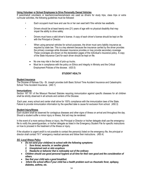#### **Using Volunteer or School Employees to Drive Personally Owned Vehicles**

If parent/adult volunteers or teachers/coaches/advisers are used as drivers for study trips, class trips or extra curricular activities, the following guidelines must be followed:

- Each occupant must have and use his or her own seat belt if the vehicle has seatbelts.
- Drivers should be at least twenty-one (21) years of age with no physical disability that may impair the ability to drive safely.
- Drivers must have a valid driver's license. A copy of each driver's license should be kept on file with the Principal or Director.
- When using personal vehicles for school purposes, the driver must carry liability insurance as required by state law. This is a key element because the insurance carried by the driver provides the primary coverage while diocesan insurance provides or may provide secondary coverage. These coverages are shown on the declaration pages of the individual's insurance policy. A copy of the State Insurance Card for each driver should be kept on file.
	- No one may ride in the bed of pick-up trucks.
	- Must be in compliance with the policy on Ethics and Integrity in Ministry and the Critical Employment Policies of the diocese. (420.5)

#### **STUDENT HEALTH**

#### **Student Insurance**

The Diocese of Kansas City - St. Joseph provides both Basic School Time Accident Insurance and Catastrophic School Time Accident Insurance. (440.1)

#### **Immunizations**

Section 167.181 of the Missouri Revised Statutes requiring immunization against specific diseases for all children shall be strictly observed in all schools and centers of the Diocese.

Each year, every school and center shall strive for 100% compliance with the immunization laws of the State. Failure to provide immunization information by the specified date is cause for exclusion from school. (450.3)

#### **Student Injury/Illness**

Each student shall be observed for contagious diseases and other signs of illness on arrival and throughout the day. Should a student suffer a minor injury or illness, first aid may be rendered.

In the event of a more serious illness or injury, the Principal or Director or his/her delegate shall use the emergency file to notify the parent/guardian, or his/her delegate as listed in the Emergency Student File for specific instructions on how to proceed in the treatment of the illness or injury.

If the situation is urgent and/it is not possible to contact the person(s) listed on the emergency file, the principal or director shall contact "911" emergency medical services and follow their instructions. (450.4)

#### *SG -Local Illness Policy*

- *Do not send your child(ren) to school with the following symptoms:*
	- *1. Sore throat, earache, or swollen glands*
	- *2. Unexplained rash or skin eruptions*
	- *3. Headache or behavior that is noticeably out of the ordinary*
- *Children should use good personal hygiene at all time for their own good and the consideration of others.*
- *See that your child eats a good breakfast.*
- *Inform the school office if your child has a health problem such as rheumatic fever, epilepsy, diabetes, asthma, etc.*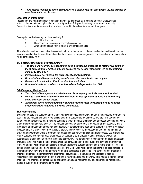*To be allowed to return to school after an illness, a student may not have thrown up, had diarrhea or run a fever in the past 24 hours.*

## **Dispensation of Medication**

Prescription and Non-prescription medication may not be dispensed by the school or center without written authorization by a student's physician and parent/guardian. This permission may be per event or annually. Permission forms to dispense medication should be kept in the school for a period of ten years.

Prescription medication may be dispensed only if:

- 1. It is not the first dose.<br>2. The medication is in o
- 2. The medication is in original prescription container.<br>3. Written authorization from the parent or quardian is
- Written authorization from the parent or guardian is on file.

All medication shall be stored out of the reach of children or in a locked container. Medication shall be returned to storage immediately after use. Medication shall be returned to the parent/guardian or disposed of immediately when no longer needed. (460.4)

#### *SG -Local Dispensation of Medication Policy*

- *The school will notify the parent/guardian when medication is dispensed so that they are aware of the child's complaint. Further, only one dose of an "as needed" medication will be administered during any school day.*
- *If symptoms are not relieved, the parent/guardian will be notified.*
- *No medication will be given during the before and after school child care program.*
- *Students will report to the office to receive their medication.*
- *Documentation is recorded each time the medicine is dispensed to the child.*

#### *SG -Emergency Medical Form*

- *The school utilizes a parent authorization form for emergency medical care for each student.*
- *Parents should keep children with communicable disease symptoms at home and immediately notify the school of such illness.*
- *A note from school informing parent of communicable diseases and alerting them to watch for symptoms will be sent home if the need should arise.*

#### **Student Pregnancy**

Even with the care and guidance of the Catholic family and school community, a student may become pregnant. At such time, the school has a dual responsibility toward the student and the school as a whole. The good of the school community requires that the school continue to teach the value of chastity and to oppose anything that would encourage premarital sexual activity. The school must continue to promote a respect for all life, especially that of the unborn, and must stand strongly against abortion. In considering the good of the student(s) involved, we follow the leadership and directives of the Catholic Church, which urges us, as an educational and faith community, to provide an environment where a pregnant student can find support, compassion and forgiveness. We further hope to offer students who have already experienced an abortion a spirit of reconciliation. Therefore, we will not automatically expel such student from the school community. The school must recognize that the pregnant student or student father has made a choice that cannot be undone, and seek to offer support to carry the pregnancy to term. No attempt will be made to discipline the student(s) for the purpose of punishing a moral offense. This is an issue between the students, their priest-confessors, and God. Care will be taken that there is no discrimination in the manner in which young men and young women are considered in this issue. The school will not encourage pregnant students or student fathers to get married. Nevertheless, the students are expected to assume responsibilities concomitant with the act of bringing a new human life into the world. This implies a change in their priorities. The pregnant student should be caring for herself as a mother-to-be. The father should respond in a stance of support for the mother and the child.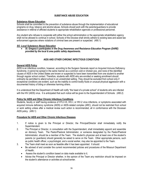## **SUBSTANCE ABUSE EDUCATION**

## **Substance Abuse Education**

Schools shall be committed to the prevention of substance abuse through the implementation of educational programs on drug, tobacco and alcohol abuse**.** Schools should work with the parents/guardians to provide assistance in referral of afflicted students to appropriate rehabilitation agencies or professional personnel.

Any student who refuses to cooperate with either the school administration or the appropriate rehabilitation agency shall not be allowed to continue in school. Schools of the Diocese shall strictly adhere to existing laws and assist law enforcement agencies where violations of criminal laws are present or suspected. (490.1)

#### *SG -Local Substance Abuse Education*

 *St. Gregory's participates in the Drug Awareness and Resistance Education Program (DARE) provided by the local & area public safety departments.* 

## **AIDS AND OTHER CHRONIC INFECTIOUS CONDITIONS**

#### **General AIDS Policy**

AIDS is an infectious condition, however, according to the Surgeon Generals report on Acquired Immune Deficiency Syndrome, it cannot be spread in the same manner as a common cold or chicken pox, and none of the identified causes of AIDS in the United States are known or suspected to have been transmitted from one student to another through regular school contact. Therefore, students with AIDS who are enrolled or seeking enrollment should ordinarily be permitted to attend school in an unrestricted setting. They should be excluded from school only if exceptional conditions are evident, such as the inability to control bodily fluids or unusual physical aggression with a documented history of biting or otherwise harming others.

It is understood that the Department of Health will notify "the head of a private school" of students who are infected with the HIV (AIDS) virus. It is anticipated that such notice will be given to the Superintendent of Schools. (495.2)

#### **Policy for AIDS and Other Chronic Infectious Conditions**

Students, faculty or staff having evidence of HTLV-III, HIV-I, or HIV-2 virus infections, or symptoms associated with acquired immune deficiency syndrome (AIDS) or AIDS-related complex (ARC), should not be restricted from school or work setting unless after a medical review such action is recommended, all in conformance with the Diocesan AIDS policy. (495.1)

#### **Procedure for AIDS and Other Chronic Infectious Diseases**

- 1. If notice is given to the Principal or Director, the Principal/Director shall immediately notify the Superintendent.
- 2. The Principal or Director, in consultation with the Superintendent, shall immediately appoint and assemble an Advisory Team. The Pastor/Pastoral Administrator, or someone designated by the Pastor/Pastoral Administrator, should be a member of the Team. The student's physician and at least one of the student's parents (or guardians) should generally be asked to serve on the Team. Other appropriate persons, such as public health officer, a psychologist, and a social worker, may also be appointed to the Team.
- 3. The Team shall meet as soon as feasible after it has been appointed. It should:
	- Be advised of and consider the current recommended policies and procedures of the Missouri Department of Health;
	- Assess the student's condition based on data made available to it;
	- Advise the Principal or Director whether, in the opinion of the Team any restriction should be imposed on the student's attendance or activities at school/center.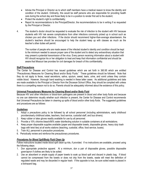- Advise the Principal or Director as to which staff members have a medical reason to know the identity and condition of the student. Ordinarily, this would be staff persons who are responsible for providing health care during the school day and those likely to be in a position to render first aid to the student;
- Protect the student's right to confidentiality;
- Report its recommendations to the Principal/Director, the recommendations to be in writing if so requested by the Principal or Director.
- 4. The student's doctor should be requested to evaluate the risk of infection to the student with HIV because students with HIV risk severe complications from other infections commonly picked up in school such as chicken pox and other infections. If the doctor should recommend higher-than-average absenteeism, the student's teachers should be encouraged to help the student keep up with classes as much as the teacher's other duties will permit.

The number of people who are made aware of the infected student's identity and condition should be kept to the minimum needed to assure proper care of the student and to detect any extraordinary situation that may present a potential transmission of the virus. Every person receiving information about a student with HIV should recognize his or her obligation to treat and keep that information confidential and should be aware that Missouri law provides for civil damages for breach of this confidentiality.

#### **Staff Precautions**

The Center for Disease and Control has issued guidelines which are set forth in 360.95 which are entitled "Precautionary Measures for Cleaning Blood and/or Body Fluids." These guidelines should be followed. Note that they do not apply to feces, nasal secretions, saliva, sputum, sweat, tears, urine, and vomit unless they contain visible blood. However, thorough hand washing is needed in these latter cases. As additional guidelines and data are made available to the Principal or Director from the Diocesan School Office, they should be complied with unless there is a compelling reason not to do so. Parents should be adequately informed about the existence of this policy.

#### **Universal Precautionary Measures for Cleaning Blood and/or Body Fluid**

Because HIV and other infections or blood-born pathogens are present in blood and other body fluids and because no one can determine visually whether such infection is present, the Center for Disease and Control recommends that Universal Precautions be taken in cleaning up spills of blood and/or other body fluids. The suggested guidelines and procedures are as follows:

## *Guidelines*

- 1. Adopt a precautions policy to be followed by all school personnel (including administrators, early childhood providers/early childhood aides, teachers, food service, custodial staff, and bus drivers).
- 2. Keep rubber or latex gloves readily available for use by all personnel.
- 3. Provide a 10% chlorine bleach/90% water disinfecting solution in suitable containers at all workstations.
- 4. Keep proper disposable supplies available (paper and disposable towels, disposable gloves, heavy duty trash bags with twist ties) at all works stations (teaching, custodial, office, food service, buses).
- 5. Train ALL personnel in precaution procedures.
- 6. Periodically review and reinforce the precautionary procedures.

#### *Procedures for Blood Spill/Body Fluid Clean Up*

Follow instructions located inside blood spill clean-up kits, if provided. If no instructions are available, proceed using the following steps:

- 1. Don appropriate protective apparel. At a minimum, don a pair of disposable gloves, possible disposable gown/apron if clothes are likely to be soiled.
- 2. Use an absorbent or ample supply of paper towels to soak up blood spill and discard in plastic bag. If blood cannot be compressed from the towels or does not drip from the towels, waste will meet the definition of regulated waste and may be discarded in regular trash. If the opposite is true, be sure soiled waste is placed in a biohazard bag.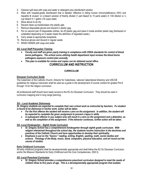- 3. Cleanse spill area with soap and water or detergent plus disinfectant solution
- 4. Wipe with hospital-grade disinfectant that is labeled "effective in killing human immunodeficiency (HIV) and hepatitis B viruses" or a bleach solution of freshly diluted (1 part bleach to 10 parts water) A 1:64 dilution is 1/4 cup bleach in 1 gallon (16 cups) water.
- 5. Allow above to air dry
- 6. Discard clean-up towels/wipes into plastic gab.
- 7. Remove disposable gloves and discard in plastic gag.
- 8. Put on second pair of disposable clothes, tie off plastic gag and place it inside another plastic bag (biohazard or unlabelled depending on if waste meets the definition of regulated waste.)
- 9. Carry waste to appropriate receptacle.
- 10. Remove gloves and discard in regular waste
- 11. WASH HANDS with soap and water.

#### *SG -Local Staff Precaution Training*

- *Faculty and staff are given yearly training in compliance with OSHA standards for control of blood borne pathogens. The school nurse utilizing health department input reviews the blood borne pathogens exposure control plan annually.*
- *This plan is available for review and copies can be obtained social office.*

# **CURRICULUM AND INSTRUCTION**

## **CURRICULUM**

#### **Diocesan Curriculum Guide**

The Catechism of the Catholic Church, Director for Catechesis, national Catechetical Directory and USCCB guidelines for religious instruction shall be used as a guide in the development of course content for grades Pre-K through 12 for the religion curriculum.

All professional staff should have ready access to the KC-SJ Diocesan Curriculum. They should be used in curriculum mapping and in long range planning.

#### *SG – Local Academic Dishonesty*

*St. Gregory students are expected to complete their own school work as instructed by teachers. If a student is found to be dishonest in his/her work, action will be taken.*

- For the first offense the student will receive a zero on the assignment. In addition, the student will *be expected to complete the given assignment to prevent a lapse in skills.*
- *A subsequent offense in any subject area will result in a zero on the assignment and a detention, as well as the completion of the assignment. If the behavior continues, further action will be taken.*

#### *SG -Local Kindergarten – Eighth Grade Curriculum*

- *St. Gregory School has a comprehensive kindergarten through eighth grade curriculum. With religion intertwined throughout the school day, the students receive instruction in the doctrines and practices of the Catholic Church and have opportunities to develop their spirituality.*
- *Emphasis is put on the "basics:" reading, writing, English, spelling, math, social studies and science. Theology of the Body, music, band, computers, physical education, and art round out the course of studies.*

#### **Early Childhood Curriculum**

All early childhood programs shall be developmentally appropriate and shall follow the KC-SJ Diocesan Curriculum and/or the Missouri Standards for Early Childhood and the Core Competencies. (500.3)

#### *SG -Local Preschool Curriculum*

 *St. Gregory School provides a comprehensive preschool curriculum designed to meet the needs of children three to five years of age. This is a developmentally appropriate program that enables*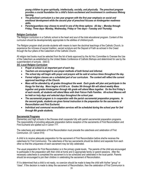*young children to grow spiritually, intellectually, socially, and physically. The preschool program provides a crucial foundation for a child's future excitement and involvement in continuous lifelong learning.* 

- *The preschool curriculum is a two year program with the first year emphasis on social and emotional development while the second year of preschool focuses on kindergarten readiness skills.*
- *Parents/guardians may choose to enroll in one of the three options: All day -- Monday through Friday; Three days- Monday, Wednesday, Friday or Two days—Tuesday and Thursday.*

#### **Religion Curriculum**

The Religion curriculum in a Catholic school is the heart and soul of the total educational program. Content of this curriculum should be developmentally appropriate to the abilities of children/youth.

The Religion program shall provide students with means to learn the doctrinal teachings of the Catholic Church, to experience the richness of sacred tradition, sacred scripture and the Deposit of Faith as echoed in the Creed through the four pillars of the Catechism of the Catholic Church.

All religion text books must be selected from the list of texts approved by the Ad Hoc Committee to Oversee the Use of the Catechism as established by the United States Conference of Catholic Bishops and determined for use by the superintendent of schools. (500.5)

*SG -Local Religion Curriculum*

- *Prayer at school is an important part of each day.*
- *Teachers are encouraged to use prayer methods of both formal and informal.*
- *The school day will begin with prayer and prayers will be said at various times throughout the day.*
- *Formal religion classes are a scheduled part of our curriculum. The content will reflect the current approved teachings of the Church.*
- *Mass will be attended by all grades throughout the week. Each grade will plan and participate in the liturgy for that day. Mass begins at 8:00 a.m. Grades 5th through 8th will attend weekly Mass together and grades kindergarten through 4th grade will attend Mass together. On the first Friday's of each month, all students will attend Mass with their Falcon Faith Families. All-school Masses will be held on holy days and selected days throughout the school year.*
- *The sacramental program is in cooperation with the parish sacramental preparation programs. In the second grade, students are given formal instruction in the preparation for the sacraments of Reconciliation and First Eucharist.*
- *Individual and communal reconciliation services will be scheduled during the school year for 2nd through 8th grade students.*

#### **Sacramental Programs**

Elementary and high schools in the Diocese shall cooperate fully with parish sacramental preparation programs. The responsibility of providing adequate preparation before reception of the sacraments of First Reconciliation and First Eucharist are spelled out in Canon 777.

The catechesis and celebration of First Reconciliation must precede the catechesis and celebration of First Communion. (Cf. Canon 914)

A child is to receive adequate preparation for the sacrament of First Reconciliation before she/he receives the catechesis for First Communion. The catechesis of the two sacraments should be distinct and separate from each other so that the uniqueness of each sacrament may be fully celebrated.

The usual preparation for First Reconciliation is in the primary grade levels. The parents of the child are encouraged to participate in the preparation with their child at home and in appropriate family or parent sessions. After the necessary catechesis is completed the sacrament is to be scheduled and celebrated in the local parish. Parents should be encouraged to join their children in celebrating the sacrament of Reconciliation.

If it is determined that a child is not ready, no coercion should be made to keep the child with his/her "group" or "class". If the decision is made to delay the sacrament of Reconciliation, then the celebration of First Communion is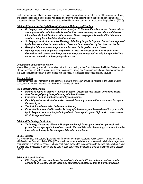to be delayed until after 1st Reconciliation is sacramentally celebrated.

First Communion should also involve separate and distinct preparation for the celebration of this sacrament. Family and parent sessions are encouraged with preparation for the child occurring both at home and in sacramental preparation classes. The celebration is to be scheduled in the local parish at an appropriate liturgical time. (500.6)

## *SG -Local Theology of the Body/Sexuality Education Materials and Teaching*

- **St. Gregory's provides information about puberty to 5<sup>th</sup> Graders. Parents are asked to meet prior to by the strong to** *sharing information with the students to allow them the opportunity to view videos and discuss information which will be shared with students. We encourage parents to attend the information sessions during the school day with their children.*
- *St. Gregory's curriculum includes Theology of the Body taught in 7th grade. The texts are approved by the Diocese and are incorporated into classroom time determined by the classroom teacher.*
- *Biological information about reproduction is shared in 5-8 grade science classes.*
- *Eighth graders and their parents are provided a sexual awareness curriculum which involves discussions with parents and the opportunity to support a computerized baby for a period of time under the supervision of the eighth grade teacher.*

## **Constitutions and American History**

Missouri law governing education mandates instruction and testing in the Constitutions of the United States and the State of Missouri, as well as regular instruction in American History and American Institutions. It is recommended that such instruction be given in accordance with the policy of the local public school district. (505.1)

## **Missouri History**

In elementary schools, instruction in the history of the State of Missouri should be included in the Social Studies curriculum. Ordinarily, this occurs at the Fourth Grade level. (505.2)

## *SG -Local Band Opportunity*

- *Band is an option for grades 5th through 8th grade. Classes are held at least three times a week.*
- *A fee is charged yearly to be paid along with the tuition fees.*
- *Instruments must be purchased/leased by each student.*
- *Parents/guardians or students are also responsible for any repairs to their instruments throughout the school year.*
- *The fee information is listed in the school directory.*
- *If a student is not enrolled in band at St. Gregory's, he/she may not be considered for sponsorship by St. Gregory's school in the junior high district band tryouts, junior high music contest or other MSHSAA approved events.*

## *SG -Local Technology Curriculum*

 *Technology classes are offered to kindergarten through fourth grade two times per week and grades five through eighth three times a week. National Education Technology Standards from the International Society for Technology in Education are followed.*

## **Special Services**

It is recommended that parents/guardians be informed of their rights regarding Public Law 94.142 and Individuals with Disabilities Education Act of 2004 (IDEA) which mandates special education service to all children, regardless of enrollment in a particular school. Schools shall make every effort to cooperate with the local public school district in which they are located to ensure the delivery of such services to the students enrolled in schools of the Diocese. (505.4)

## *SG- Local Special Services*

 *If St. Gregory School cannot meet the needs of a student's IEP the student should not remain enrolled at St. Gregory School. Keeping a student whose needs cannot be met is considered*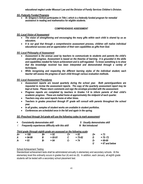*educational neglect under Missouri Law and the Division of Family Services Children's Division.*

*SG -Federally Funded Programs*

 *St. Gregory's School participates in Title I, which is a federally funded program for remedial assistance in reading and mathematics for eligible students.*

#### **COMPREHENSIVE ASSESSMENT**

#### *SG -Local Vision of Assessment*

- *The vision of strengthening and encouraging the many gifts within each child is shared by us as educators.*
- *It is our goal that through a comprehensive assessment process, children will realize individual educational success and an appreciation of their own capabilities as gifts from God.*

#### *SG -Local Philosophy of Assessment*

- *Assessment is the avenue used by teachers to communicate to students and parents the child's observable progress. Assessment is based on the theories of learning. It is grounded in the skills and capabilities needed for future achievement and is self-regulated. To know something is to show that the knowledge received has been interpreted and demonstrated through a variety of techniques.*
- *While recognizing and respecting the different learning styles of the individual student, each teacher will assess the progress of each child through various evaluation methods.*

#### *SG -Local Assessment Procedures*

- *Assessment reports are issued quarterly during the school year. Both parent/guardians are requested to review the assessment reports. The copy of the quarterly assessment report may be kept at home. Please return comments and sign the envelope provided with the assessment.*
- *Progress reports are completed by teachers in Grades 1-8 to inform parents of their child's academic progress. These are mailed home at approximately the midpoint of each quarter.*
- *Teachers may also send reports home at other times.*
- *Teachers in grades preschool through 8th grade will consult with parents throughout the school year.*
- *In all grades, samples of student works are available in student portfolios.*
- *Conferences are scheduled once in the fall and again in the spring.*

#### *SG -Preschool through 3rd grade will use the following codes to mark assessment:*

| $\ddot{}$<br>$\sqrt{ }$ | <b>Consistently demonstrates skill</b><br>Frequently experiences difficulty with this skill |    |             |    | S Usually demonstrates skill |                  |                  |
|-------------------------|---------------------------------------------------------------------------------------------|----|-------------|----|------------------------------|------------------|------------------|
|                         |                                                                                             |    |             |    |                              | N Not introduced |                  |
|                         | Third grade (through eighth grade are assessed on the following scale:                      |    |             |    |                              |                  |                  |
| A+                      | $= 100$                                                                                     | B+ | $= 92$      | C+ | $= 8.3$                      | D+               | $= 73$           |
| A                       | $= 94-99$                                                                                   | В  | $= 85 - 91$ |    | $= 75 - 82$                  | D                | $= 70 - 72$      |
| <b>A-</b>               | $= 93$                                                                                      | В- | $= 84$      | С- | $= 74$                       | D-               | $= 68-69$        |
|                         |                                                                                             |    |             |    |                              | U                | $= 67$ and below |

#### School Achievement Testing

Standardized achievement tests shall be administered annually in elementary and secondary schools. At the elementary level this ordinarily occurs in grades four (4) and six (6). In addition, each January, all eighth grade students will be tested with a secondary school placement test.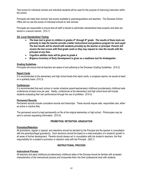Test scores for individual schools and individual students will be used for the purpose of improving instruction within the school.

Principals will make their schools' test scores available to parents/guardians and teachers. The Diocesan School Office will not use the scores of individual schools to rank schools.

Principals are responsible to ensure that all staff is trained to administer standardized tests properly and tests are stored in a secure manner. (510.1)

#### *SG -Local Standardized Testing*

- *The Iowa test is given to children in grades 4th through 8th grade. The results of these tests are primarily to help the teacher provide a better instructional and guidance program for each pupil.*  The test results will be shared with students privately by the teacher or principal. Parents will receive the test scores with final grade cards or they may request to view the results with the *principal at any time.*
- *Cognitive abilities tests will be given to grade 4.*
- *Brigance Inventory of Early Development is given as a readiness tool for kindergarten.*

#### **Grading Guidelines**

Principals will ensure that all teachers are aware of and adhering to the Diocesan Grading Guidelines. (510.2)

#### **Report Cards**

It is recommended at the elementary and high school levels that report cards, or progress reports, be issued at least on a quarterly basis. (510.3)

#### **Conferences**

It is recommended that each school or center schedule parent-teacher/early childhood provider/early childhood aide conferences at least once per year. Ideally, conferences at the elementary and high school level will include students evaluating their own performance through the use of portfolios. (510.4)

#### **Permanent Records**

Permanent records include cumulative records and transcripts. These records require safe, responsible care, either as active or inactive files.

The permanent record is kept permanently on file at the original elementary or high school. Photocopies may be sent to schools requesting information. (510.5)

#### **PROMOTION, RETENTION, GRADUATION**

#### **Promotion/Retention**

All promotions, regular or special, and retentions should be decided by the Principal and the teacher in consultation with the parents(s)/legal guardian(s). Such decisions should be based on a total evaluation of a student's growth in all areas of his/her development. Parents should always act in consultation with the student's teachers, the final responsibility for a student's promotion or retention rests with the Principal. (520.1)

#### **INSTRUCTIONAL PROCESS**

#### **Instructional Process**

All teachers and early childhood providers/early childhood aides of the Diocese should be familiar with accepted characteristics of the instructional process and incorporate them into their professional work with students.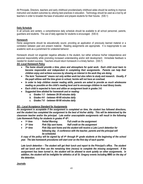All Principals, Directors, teachers and early childhood providers/early childhood aides should be working to improve instruction and student outcomes by utilizing best practices in education. Technology should be used as a tool by all teachers in order to broaden the base of education and prepare students for their futures. (530.1)

#### **Daily Schedule**

In all schools and centers, a comprehensive daily schedule should be available to all school personnel, parents, guardians and students. The use of daily agendas for students is encouraged. (530.4)

#### **Homework**

Home assignments should be educationally sound, providing an application of previously learned material or a correlation between past and present material. Reading assignments are appropriate. It is inappropriate to use academic work as a punishment for undesired behavior.

Homework should not engender negative attitudes in the student, but rather enhance his/her independence and personal responsibility while promoting increased understanding and/or skill development. Immediate feedback is needed for student success. Teachers should return homework in a timely fashion. (530.7)

# *SG -Local Homework Policy*

- *The home should provide a time, place and atmosphere for quiet work. Each child must learn to become responsible and independent in completing their assignments. Parents can help their children enjoy and achieve success by showing an interest in the work they are doing.*
- *The term "homework" means not only written work but also refers to study and research. Usually, if the pupil utilizes well the time given in school, he/she will not have an overload.*
- *In order to help children master reading skills, parents are asked to provide as much wholesome reading as possible on the child's reading level and to encourage children to read library books.*
- *Each child is expected to have and utilize an assignment book in grades 3-8.* 
	- *Suggested time allotted for homework and or reading:*
		- *a. Grades 1-3 - between 20-30 minutes daily*
		- *b. Grades 4-6 - between 40-60 minutes daily*
		- *c. Grades 7-8 - between 60-90 minutes daily*

## *SG – Local Acceptance Standard for Assignments*

*An assignment is acceptable if the assignment is completed on time, the student has followed directions, and the student has completed the assignment to the best of his/her ability. This will be determined by the classroom teacher and/or the principal. Late and/or unacceptable assignments will result in the following Late Homework Policy for students in grades 4th-8 th:*

- $\bullet$  1<sup>st</sup> time **Verbal Warning Full credit on the assignment**
- $\bullet$  2<sup>nd</sup> time **Pink Slip sent home.** Half credit on the assignment
- $\bullet$   $3^{rd}$  time **Pink Slip sent home and the student will receive a Late Lunch detention for** *following day. A conference with the teacher, parents and the principal will be scheduled.*

*A copy of the policy will be signed by all 4th through 8th grade students at the beginning of the school year. The late homework procedures will start over on the first day of each quarter.*

*Late lunch detention – The student will get their lunch and report to the Principal's office. The student will eat lunch and then use the remaining time (recess) to complete the missing assignment. If the assignment has been turned in, the student will be allowed to work quietly on other assignments. In addition, the student will be ineligible for athletics at all St. Gregory events including MMS on the day of the detention.*

#### **Journals**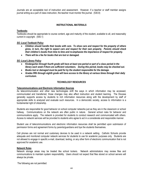Journals are an acceptable tool of instruction and assessment. However, if a teacher or staff member assigns journal writing as a part of class instruction, the teacher must monitor the journal. (530.8)

## **INSTRUCTIONAL MATERIALS**

#### **Textbooks**

Textbooks should be appropriate to course content, age and maturity of the student, available to all, and reasonably current in copyright. (540.1)

#### *SG -Local Textbook Policy*

- *Children should handle their books with care. To show care and respect for the property of others gives, in turn, the right to expect care and respect for their own property. Parents should check their children's books from time to time and re-emphasize the importance of respect for property.*
- *There will be a fee for books that are lost or damaged.*

#### *SG -Local Library Policy*

- *Kindergarten through fourth grade will have at least one period or part of a class period in the library each week if there are sufficient volunteers. During this period, books may be checked out.*
- *Books lost or damaged must be paid for by the student responsible for the damage.*
- *Grades fifth through eighth grade will have access to the library at various times through their daily curriculum.*

#### **TECHNOLOGY RESOURCES**

#### **Telecommunications and Electronic Information Sources**

As telecommunication and other new technologies shift the ways in which information may be accessed, communicated and transferred, those changes may also affect instruction and student learning. The Diocese generally supports access by students to rich information resources along with the development by staff of appropriate skills to analyzed and evaluate such resources. In a democratic society, access to information is a fundamental right of citizenship.

Students are responsible for good behavior on school computer networks just as they are in the classroom or school hallway. Communications on the network are often public in nature. General school rules for behavior and communications apply. The network is provided for students to conduct research and communicated with others. Access to network services will be provided to students who agree to act in a considerate and responsible manner.

Student use of telecommunications and electronic information resources shall be permitted upon submission of permission forms and agreement forms by parents/guardians and bye the students themselves.

Cell phones are not normal and customary devices to be used in a network setting. Catholic Schools provide adequate and monitored computer network services for students to use for academic purposes only. Students are not allowed to engage in specific e-mail, download, texting, or any other form of electronic communication that is not approved for academic use.

#### **Network Rules**

Network storage areas may be treated like school lockers. Network administrators may review files and communications to maintain system responsibility. Users should not expect that files stored on school servers will always be private.

The following are not permitted: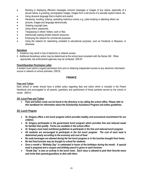- Sending or displaying offensive messages immoral messages or images of any nature, especially of a sexual nature, e.g.sexting, pornographic images, images from a cell phone of a sexually explicit nature, etc.
- Using obscene language that is implicit and explicit
- Harassing, insulting, bullying, spreading malicious rumors, e.g. cyber-bullying or attacking others via
- pictures, images and language electronically
- Violating copyright laws.
- Using others' passwords.
- Trespassing in others' folders, work or files.
- Intentionally wasting limited network resources
- Employing the network for commercial purposes.
- Using the network for networking unrelated to educational purposes, such as Facebook or Myspace, or otherwise.

## **Sanctions**

- 1. Violations may result in loss of electronic or network access.
- 2. Additional disciplinary action may be determined at the school level consistent with the Series 340. When appropriate, law enforcement agencies may be contacted. (550.81

#### **Parent/Guardian Permission Letter**

A student must submit a signed permission form prior to obtaining independent access to any electronic information source or network on school premises. (550.9)

# **FINANCE**

#### **Fees and Tuition**

Each school or center should have a written policy regarding fees and tuition which is included in the Parent Handbook and promulgated to all parents, guardians and parishioners of those parishes served by the school or center. (600.4)

## *SG -Local Fees and Tuition*

 *Fees and tuition costs can be found in the directory or by calling the school office. Please refer to this handbook for information about the Scholarship Assistance Program and tuition guidelines.*

## *SG -Lunch Program*

- *St. Gregory offers a hot lunch program which provides healthy and economical nourishment for our children.*
- *St. Gregory participates in the government lunch program which provides free and reduced meals for families that qualify. Forms are available in the school office.*
- *St. Gregory must meet nutritional guidelines to participate in the free and reduced lunch program.*
- *All students are encouraged to participate in the hot lunch program. The cost of each meal is determined yearly according to the economy and cost of food.*
- *No soda beverages are allowed during the hot lunch program or in the lunches brought from home.*
- *No fast food lunches may be brought to school for students.*
- *Once a month a "Birthday Day" is celebrated in honor of the birthdays during the month. A special meal is prepared and a coupon and birthday pencil is given to each honoree.*
- *"Grade Day" is also an activity in the lunch room. Each class is allowed to pick their favorite menu and invite their parents/guardians to dine with them.*